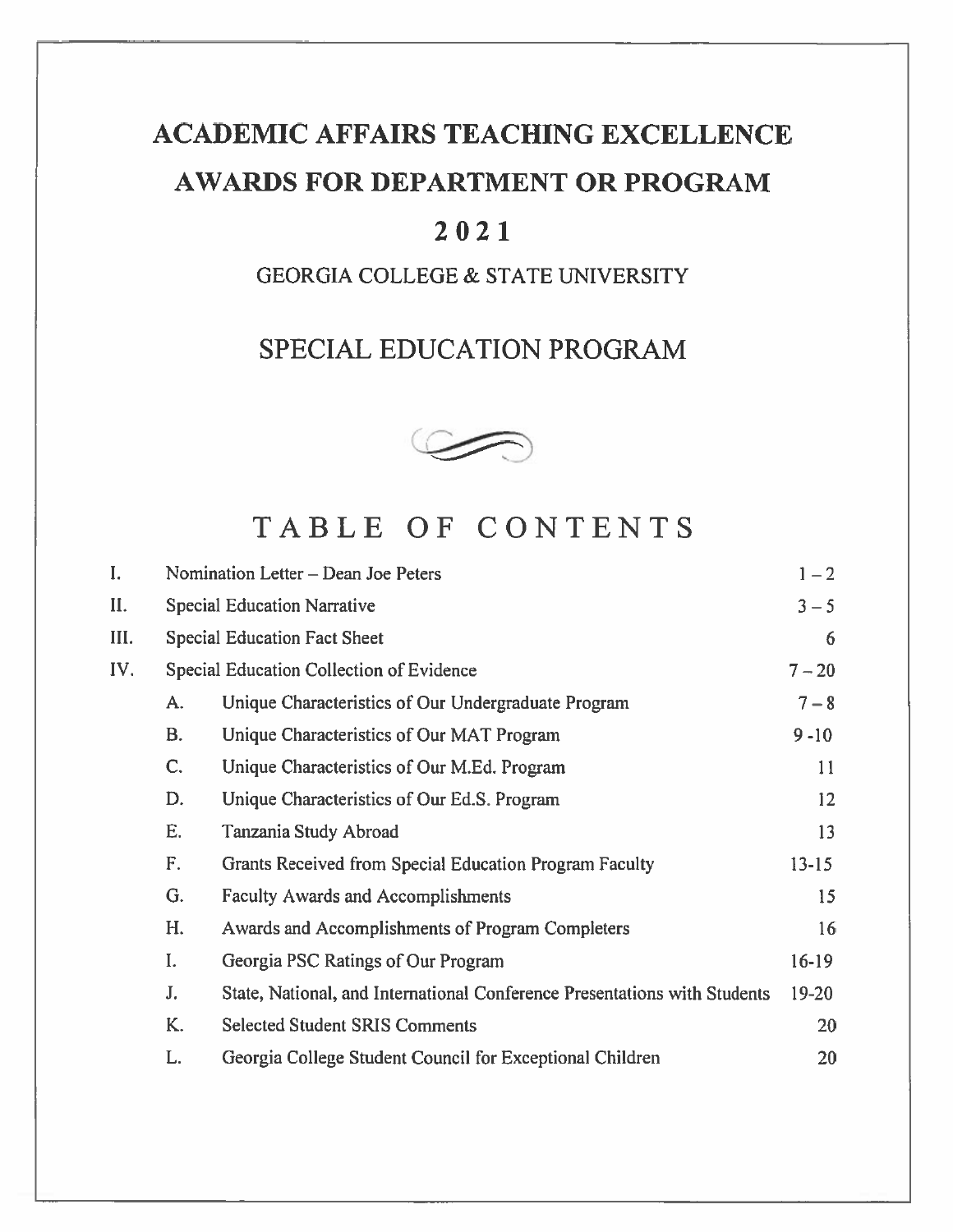# **ACADEMIC AFFAIRS TEACHING EXCELLENCE** AWARDS FOR DEPARTMENT OR PROGRAM

## 2021

## **GEORGIA COLLEGE & STATE UNIVERSITY**

## SPECIAL EDUCATION PROGRAM



## TABLE OF CONTENTS

| I.  |    | Nomination Letter – Dean Joe Peters                                       | $1 - 2$   |
|-----|----|---------------------------------------------------------------------------|-----------|
| II. |    | <b>Special Education Narrative</b>                                        | $3 - 5$   |
| Ш.  |    | <b>Special Education Fact Sheet</b>                                       | 6         |
| IV. |    | Special Education Collection of Evidence                                  | $7 - 20$  |
|     | A. | Unique Characteristics of Our Undergraduate Program                       | $7 - 8$   |
|     | B. | Unique Characteristics of Our MAT Program                                 | $9 - 10$  |
|     | C. | Unique Characteristics of Our M.Ed. Program                               | 11        |
|     | D. | Unique Characteristics of Our Ed.S. Program                               | 12        |
|     | Ė. | Tanzania Study Abroad                                                     | 13        |
|     | F. | Grants Received from Special Education Program Faculty                    | $13 - 15$ |
|     | G. | <b>Faculty Awards and Accomplishments</b>                                 | 15        |
|     | H. | Awards and Accomplishments of Program Completers                          | 16        |
|     | I. | Georgia PSC Ratings of Our Program                                        | $16-19$   |
|     | J. | State, National, and International Conference Presentations with Students | $19 - 20$ |
|     | K. | <b>Selected Student SRIS Comments</b>                                     | 20        |
|     | L. | Georgia College Student Council for Exceptional Children                  | 20        |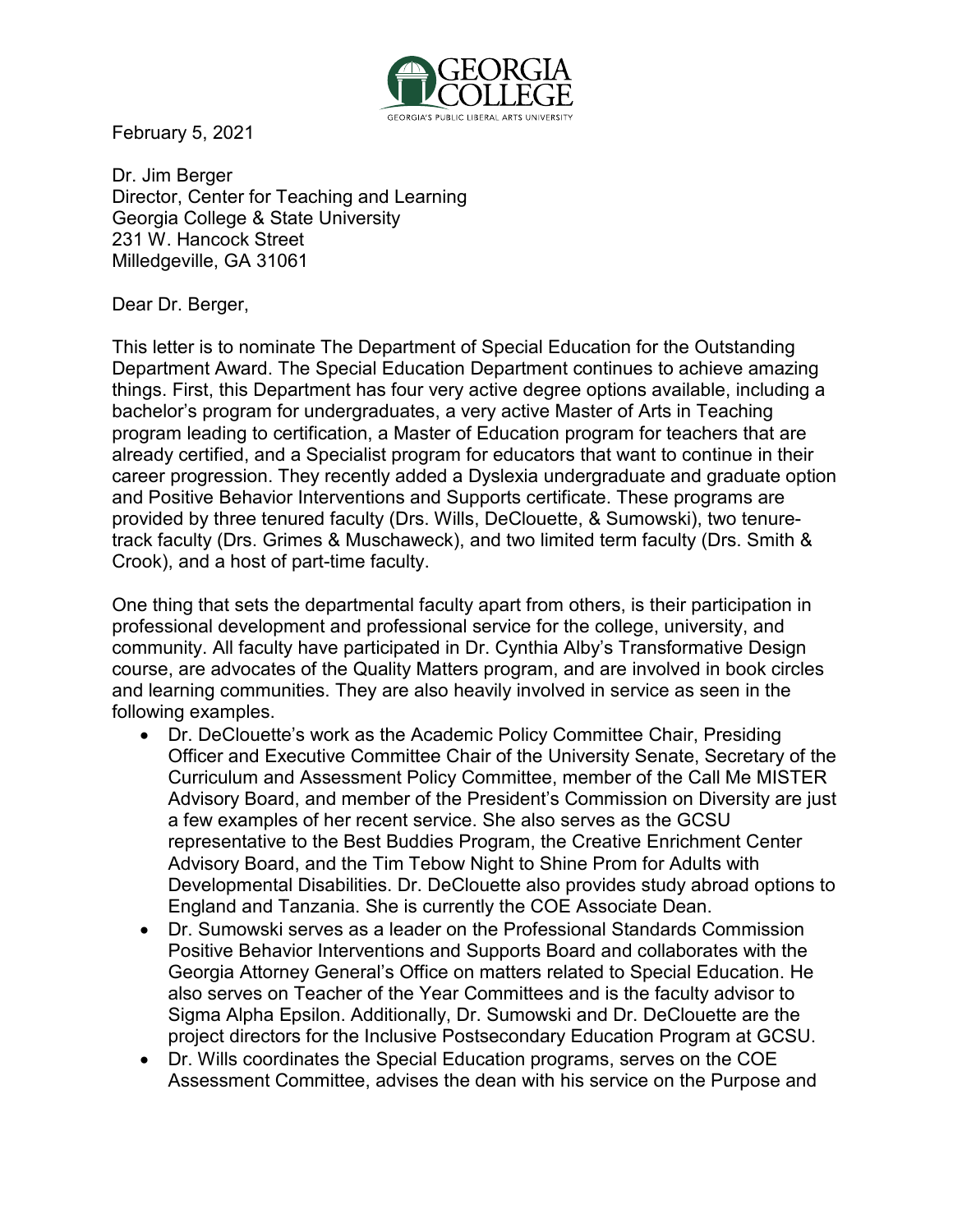

February 5, 2021

Dr. Jim Berger Director, Center for Teaching and Learning Georgia College & State University 231 W. Hancock Street Milledgeville, GA 31061

Dear Dr. Berger,

This letter is to nominate The Department of Special Education for the Outstanding Department Award. The Special Education Department continues to achieve amazing things. First, this Department has four very active degree options available, including a bachelor's program for undergraduates, a very active Master of Arts in Teaching program leading to certification, a Master of Education program for teachers that are already certified, and a Specialist program for educators that want to continue in their career progression. They recently added a Dyslexia undergraduate and graduate option and Positive Behavior Interventions and Supports certificate. These programs are provided by three tenured faculty (Drs. Wills, DeClouette, & Sumowski), two tenuretrack faculty (Drs. Grimes & Muschaweck), and two limited term faculty (Drs. Smith & Crook), and a host of part-time faculty.

One thing that sets the departmental faculty apart from others, is their participation in professional development and professional service for the college, university, and community. All faculty have participated in Dr. Cynthia Alby's Transformative Design course, are advocates of the Quality Matters program, and are involved in book circles and learning communities. They are also heavily involved in service as seen in the following examples.

- Dr. DeClouette's work as the Academic Policy Committee Chair, Presiding Officer and Executive Committee Chair of the University Senate, Secretary of the Curriculum and Assessment Policy Committee, member of the Call Me MISTER Advisory Board, and member of the President's Commission on Diversity are just a few examples of her recent service. She also serves as the GCSU representative to the Best Buddies Program, the Creative Enrichment Center Advisory Board, and the Tim Tebow Night to Shine Prom for Adults with Developmental Disabilities. Dr. DeClouette also provides study abroad options to England and Tanzania. She is currently the COE Associate Dean.
- Dr. Sumowski serves as a leader on the Professional Standards Commission Positive Behavior Interventions and Supports Board and collaborates with the Georgia Attorney General's Office on matters related to Special Education. He also serves on Teacher of the Year Committees and is the faculty advisor to Sigma Alpha Epsilon. Additionally, Dr. Sumowski and Dr. DeClouette are the project directors for the Inclusive Postsecondary Education Program at GCSU.
- Dr. Wills coordinates the Special Education programs, serves on the COE Assessment Committee, advises the dean with his service on the Purpose and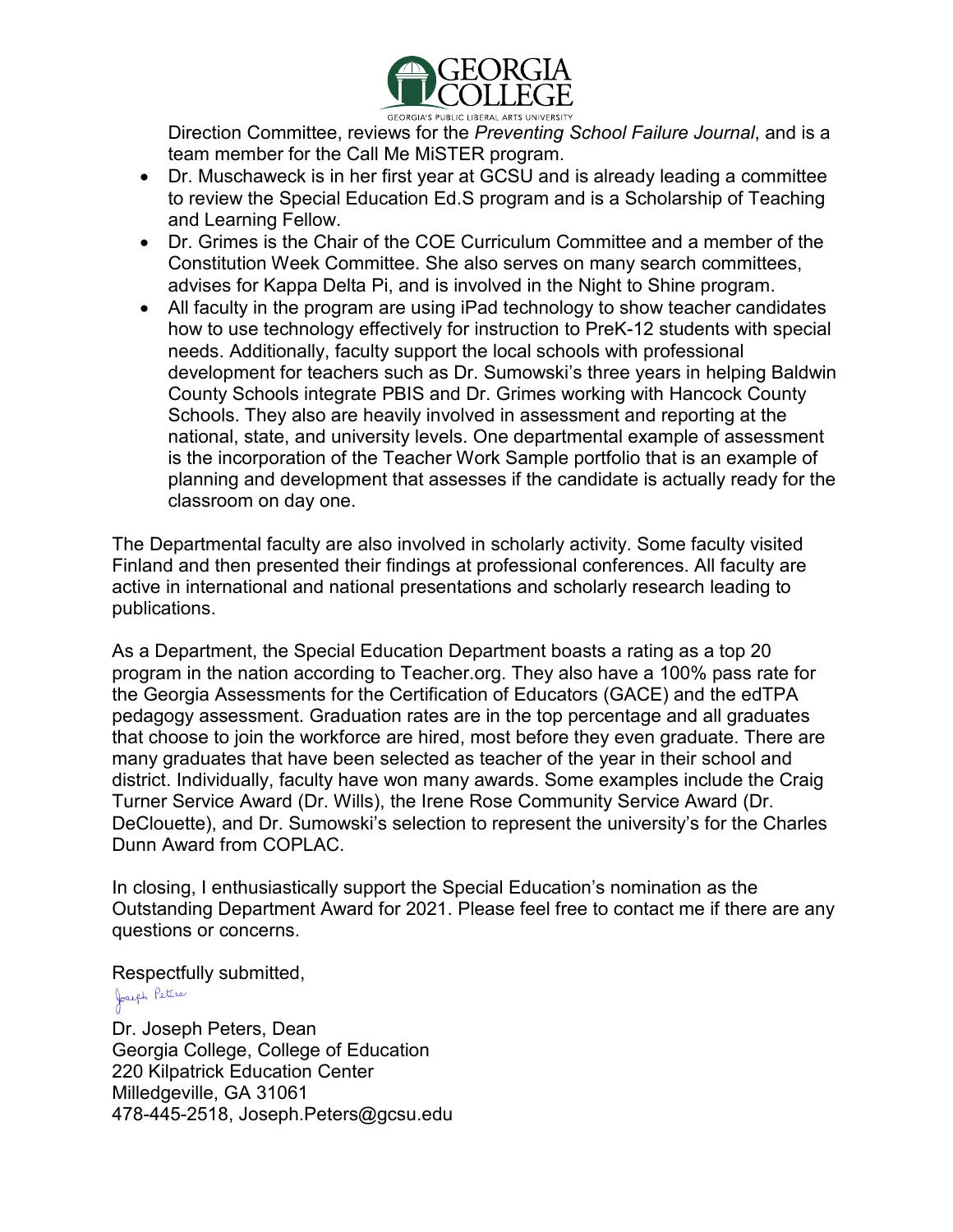

Direction Committee, reviews for the *Preventing School Failure Journal*, and is a team member for the Call Me MiSTER program.

- Dr. Muschaweck is in her first year at GCSU and is already leading a committee to review the Special Education Ed.S program and is a Scholarship of Teaching and Learning Fellow.
- Dr. Grimes is the Chair of the COE Curriculum Committee and a member of the Constitution Week Committee. She also serves on many search committees, advises for Kappa Delta Pi, and is involved in the Night to Shine program.
- All faculty in the program are using iPad technology to show teacher candidates how to use technology effectively for instruction to PreK-12 students with special needs. Additionally, faculty support the local schools with professional development for teachers such as Dr. Sumowski's three years in helping Baldwin County Schools integrate PBIS and Dr. Grimes working with Hancock County Schools. They also are heavily involved in assessment and reporting at the national, state, and university levels. One departmental example of assessment is the incorporation of the Teacher Work Sample portfolio that is an example of planning and development that assesses if the candidate is actually ready for the classroom on day one.

The Departmental faculty are also involved in scholarly activity. Some faculty visited Finland and then presented their findings at professional conferences. All faculty are active in international and national presentations and scholarly research leading to publications.

As a Department, the Special Education Department boasts a rating as a top 20 program in the nation according to Teacher.org. They also have a 100% pass rate for the Georgia Assessments for the Certification of Educators (GACE) and the edTPA pedagogy assessment. Graduation rates are in the top percentage and all graduates that choose to join the workforce are hired, most before they even graduate. There are many graduates that have been selected as teacher of the year in their school and district. Individually, faculty have won many awards. Some examples include the Craig Turner Service Award (Dr. Wills), the Irene Rose Community Service Award (Dr. DeClouette), and Dr. Sumowski's selection to represent the university's for the Charles Dunn Award from COPLAC.

In closing, I enthusiastically support the Special Education's nomination as the Outstanding Department Award for 2021. Please feel free to contact me if there are any questions or concerns.

Respectfully submitted,<br>المعنون<sup>م ا</sup><sup>فقات</sup> Dr. Joseph Peters, Dean Georgia College, College of Education 220 Kilpatrick Education Center Milledgeville, GA 31061 478-445-2518, [Joseph.Peters@gcsu.edu](mailto:Joseph.Peters@gcsu.edu)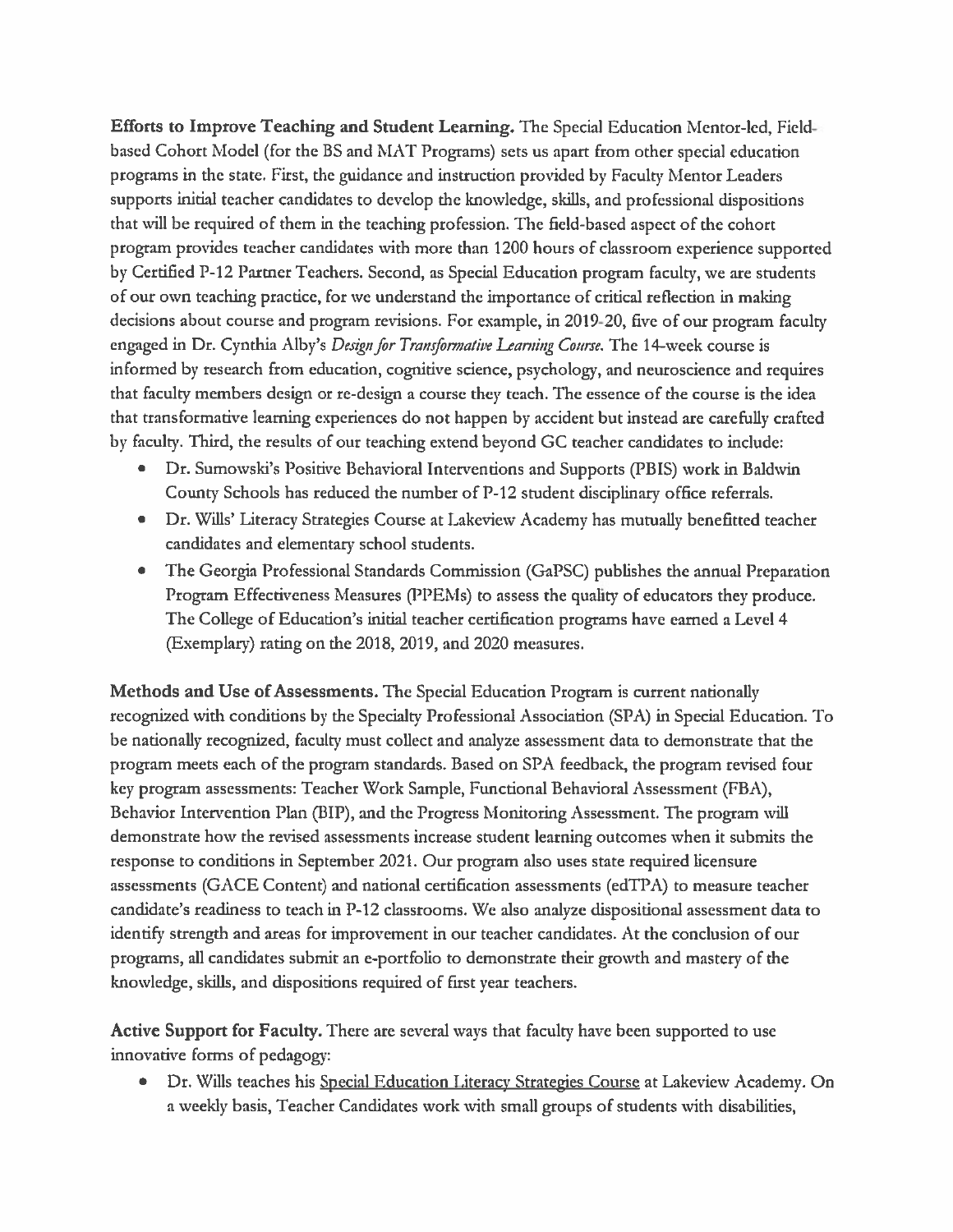Efforts to Improve Teaching and Student Learning. The Special Education Mentor-led, Fieldbased Cohort Model (for the BS and MAT Programs) sets us apart from other special education programs in the state. First, the guidance and instruction provided by Faculty Mentor Leaders supports initial teacher candidates to develop the knowledge, skills, and professional dispositions that will be required of them in the teaching profession. The field-based aspect of the cohort program provides teacher candidates with more than 1200 hours of classroom experience supported by Certified P-12 Partner Teachers. Second, as Special Education program faculty, we are students of our own teaching practice, for we understand the importance of critical reflection in making decisions about course and program revisions. For example, in 2019-20, five of our program faculty engaged in Dr. Cynthia Alby's Design for Transformative Learning Course. The 14-week course is informed by research from education, cognitive science, psychology, and neuroscience and requires that faculty members design or re-design a course they teach. The essence of the course is the idea that transformative learning experiences do not happen by accident but instead are carefully crafted by faculty. Third, the results of our teaching extend beyond GC teacher candidates to include:

- Dr. Sumowski's Positive Behavioral Interventions and Supports (PBIS) work in Baldwin County Schools has reduced the number of P-12 student disciplinary office referrals.
- Dr. Wills' Literacy Strategies Course at Lakeview Academy has mutually benefitted teacher candidates and elementary school students.
- The Georgia Professional Standards Commission (GaPSC) publishes the annual Preparation Program Effectiveness Measures (PPEMs) to assess the quality of educators they produce. The College of Education's initial teacher certification programs have earned a Level 4 (Exemplary) rating on the 2018, 2019, and 2020 measures.

Methods and Use of Assessments. The Special Education Program is current nationally recognized with conditions by the Specialty Professional Association (SPA) in Special Education. To be nationally recognized, faculty must collect and analyze assessment data to demonstrate that the program meets each of the program standards. Based on SPA feedback, the program revised four key program assessments: Teacher Work Sample, Functional Behavioral Assessment (FBA), Behavior Intervention Plan (BIP), and the Progress Monitoring Assessment. The program will demonstrate how the revised assessments increase student learning outcomes when it submits the response to conditions in September 2021. Our program also uses state required licensure assessments (GACE Content) and national certification assessments (edTPA) to measure teacher candidate's readiness to teach in P-12 classrooms. We also analyze dispositional assessment data to identify strength and areas for improvement in our teacher candidates. At the conclusion of our programs, all candidates submit an e-portfolio to demonstrate their growth and mastery of the knowledge, skills, and dispositions required of first year teachers.

Active Support for Faculty. There are several ways that faculty have been supported to use innovative forms of pedagogy:

Dr. Wills teaches his Special Education Literacy Strategies Course at Lakeview Academy. On a weekly basis, Teacher Candidates work with small groups of students with disabilities,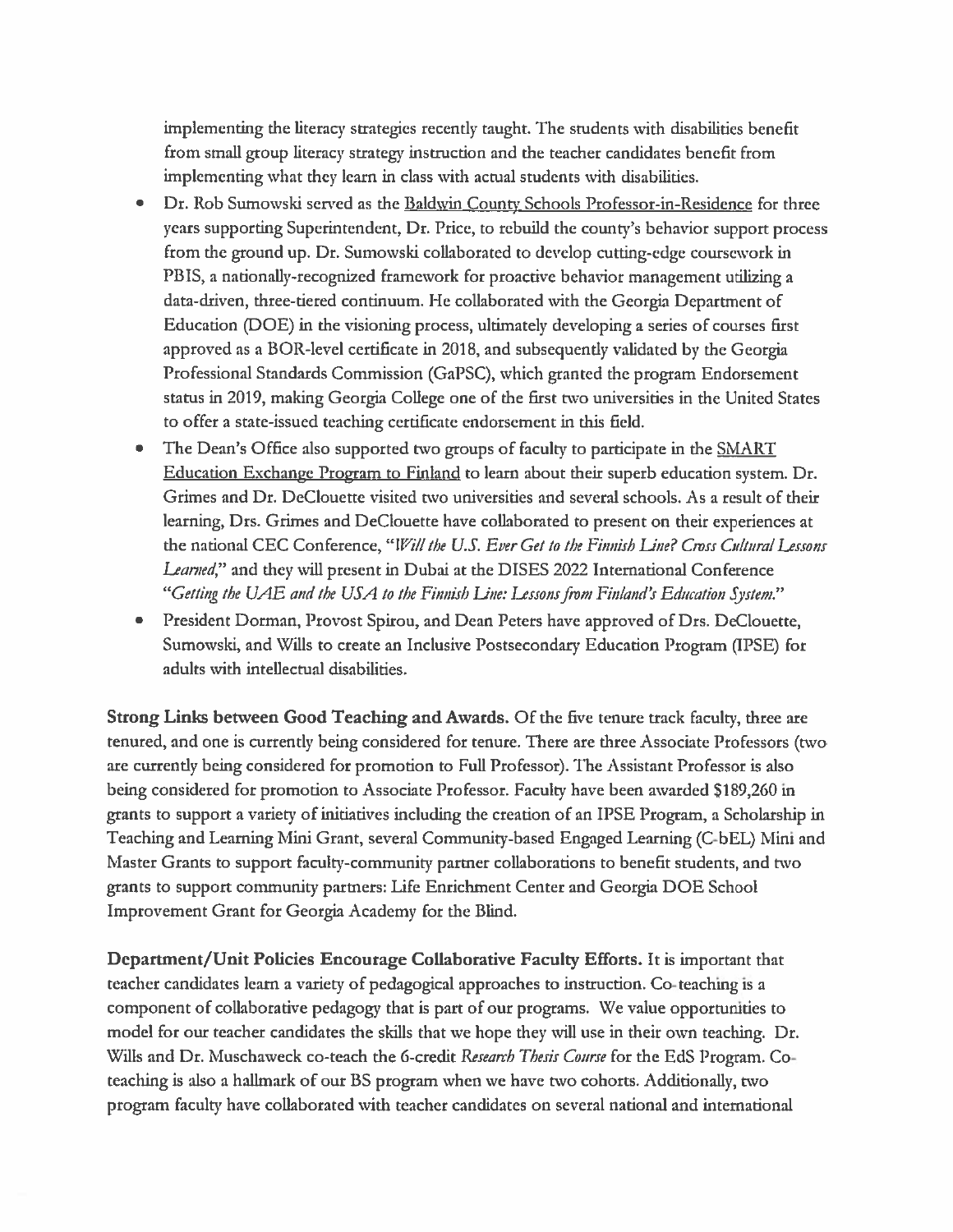implementing the literacy strategies recently taught. The students with disabilities benefit from small group literacy strategy instruction and the teacher candidates benefit from implementing what they learn in class with actual students with disabilities.

- $\bullet$ Dr. Rob Sumowski served as the Baldwin County Schools Professor-in-Residence for three years supporting Superintendent, Dr. Price, to rebuild the county's behavior support process from the ground up. Dr. Sumowski collaborated to develop cutting-edge coursework in PBIS, a nationally-recognized framework for proactive behavior management utilizing a data-driven, three-tiered continuum. He collaborated with the Georgia Department of Education (DOE) in the visioning process, ultimately developing a series of courses first approved as a BOR-level certificate in 2018, and subsequently validated by the Georgia Professional Standards Commission (GaPSC), which granted the program Endorsement status in 2019, making Georgia College one of the first two universities in the United States to offer a state-issued teaching certificate endorsement in this field.
- The Dean's Office also supported two groups of faculty to participate in the SMART  $\bullet$ Education Exchange Program to Finland to learn about their superb education system. Dr. Grimes and Dr. DeClouette visited two universities and several schools. As a result of their learning, Drs. Grimes and DeClouette have collaborated to present on their experiences at the national CEC Conference, "Will the U.S. Ever Get to the Finnish Line? Cross Cultural Lessons *Learned*," and they will present in Dubai at the DISES 2022 International Conference "Getting the UAE and the USA to the Finnish Line: Lessons from Finland's Education System."
- President Dorman, Provost Spirou, and Dean Peters have approved of Drs. DeClouette,  $\bullet$ Sumowski, and Wills to create an Inclusive Postsecondary Education Program (IPSE) for adults with intellectual disabilities.

Strong Links between Good Teaching and Awards. Of the five tenure track faculty, three are tenured, and one is currently being considered for tenure. There are three Associate Professors (two are currently being considered for promotion to Full Professor). The Assistant Professor is also being considered for promotion to Associate Professor. Faculty have been awarded \$189,260 in grants to support a variety of initiatives including the creation of an IPSE Program, a Scholarship in Teaching and Learning Mini Grant, several Community-based Engaged Learning (C-bEL) Mini and Master Grants to support faculty-community partner collaborations to benefit students, and two grants to support community partners: Life Enrichment Center and Georgia DOE School Improvement Grant for Georgia Academy for the Blind.

Department/Unit Policies Encourage Collaborative Faculty Efforts. It is important that teacher candidates learn a variety of pedagogical approaches to instruction. Co-teaching is a component of collaborative pedagogy that is part of our programs. We value opportunities to model for our teacher candidates the skills that we hope they will use in their own teaching. Dr. Wills and Dr. Muschaweck co-teach the 6-credit Research Thesis Course for the EdS Program. Coteaching is also a hallmark of our BS program when we have two cohorts. Additionally, two program faculty have collaborated with teacher candidates on several national and international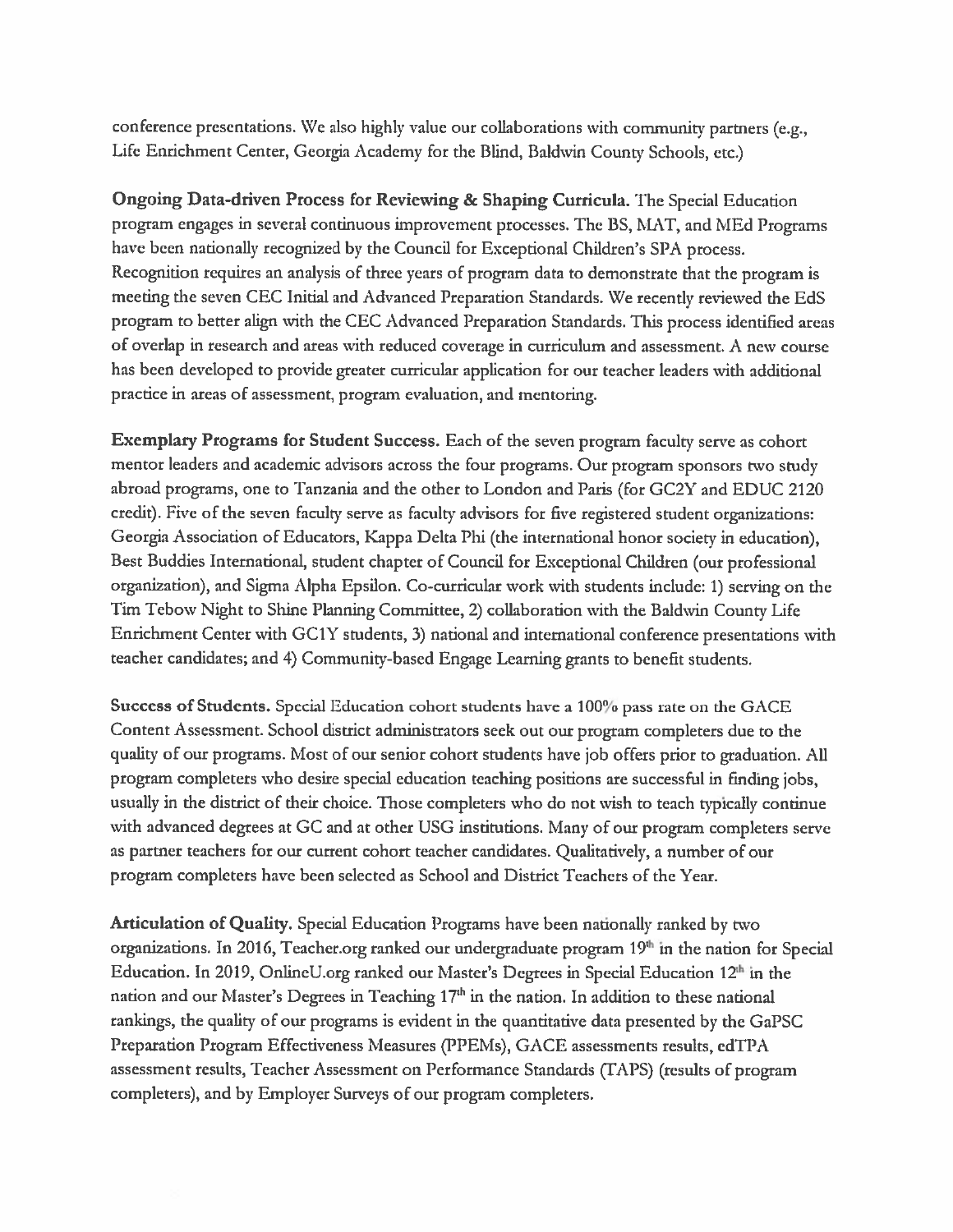conference presentations. We also highly value our collaborations with community partners (e.g., Life Enrichment Center, Georgia Academy for the Blind, Baldwin County Schools, etc.)

Ongoing Data-driven Process for Reviewing & Shaping Curricula. The Special Education program engages in several continuous improvement processes. The BS, MAT, and MEd Programs have been nationally recognized by the Council for Exceptional Children's SPA process. Recognition requires an analysis of three years of program data to demonstrate that the program is meeting the seven CEC Initial and Advanced Preparation Standards. We recently reviewed the EdS program to better align with the CEC Advanced Preparation Standards. This process identified areas of overlap in research and areas with reduced coverage in curriculum and assessment. A new course has been developed to provide greater curricular application for our teacher leaders with additional practice in areas of assessment, program evaluation, and mentoring.

Exemplary Programs for Student Success. Each of the seven program faculty serve as cohort mentor leaders and academic advisors across the four programs. Our program sponsors two study abroad programs, one to Tanzania and the other to London and Paris (for GC2Y and EDUC 2120 credit). Five of the seven faculty serve as faculty advisors for five registered student organizations: Georgia Association of Educators, Kappa Delta Phi (the international honor society in education), Best Buddies International, student chapter of Council for Exceptional Children (our professional organization), and Sigma Alpha Epsilon. Co-curricular work with students include: 1) serving on the Tim Tebow Night to Shine Planning Committee, 2) collaboration with the Baldwin County Life Enrichment Center with GC1Y students, 3) national and international conference presentations with teacher candidates; and 4) Community-based Engage Learning grants to benefit students.

Success of Students. Special Education cohort students have a 100% pass rate on the GACE Content Assessment. School district administrators seek out our program completers due to the quality of our programs. Most of our senior cohort students have job offers prior to graduation. All program completers who desire special education teaching positions are successful in finding jobs, usually in the district of their choice. Those completers who do not wish to teach typically continue with advanced degrees at GC and at other USG institutions. Many of our program completers serve as partner teachers for our current cohort teacher candidates. Qualitatively, a number of our program completers have been selected as School and District Teachers of the Year.

**Articulation of Quality.** Special Education Programs have been nationally ranked by two organizations. In 2016, Teacher.org ranked our undergraduate program 19th in the nation for Special Education. In 2019, OnlineU.org ranked our Master's Degrees in Special Education 12<sup>th</sup> in the nation and our Master's Degrees in Teaching 17th in the nation. In addition to these national rankings, the quality of our programs is evident in the quantitative data presented by the GaPSC Preparation Program Effectiveness Measures (PPEMs), GACE assessments results, edTPA assessment results, Teacher Assessment on Performance Standards (TAPS) (results of program completers), and by Employer Surveys of our program completers.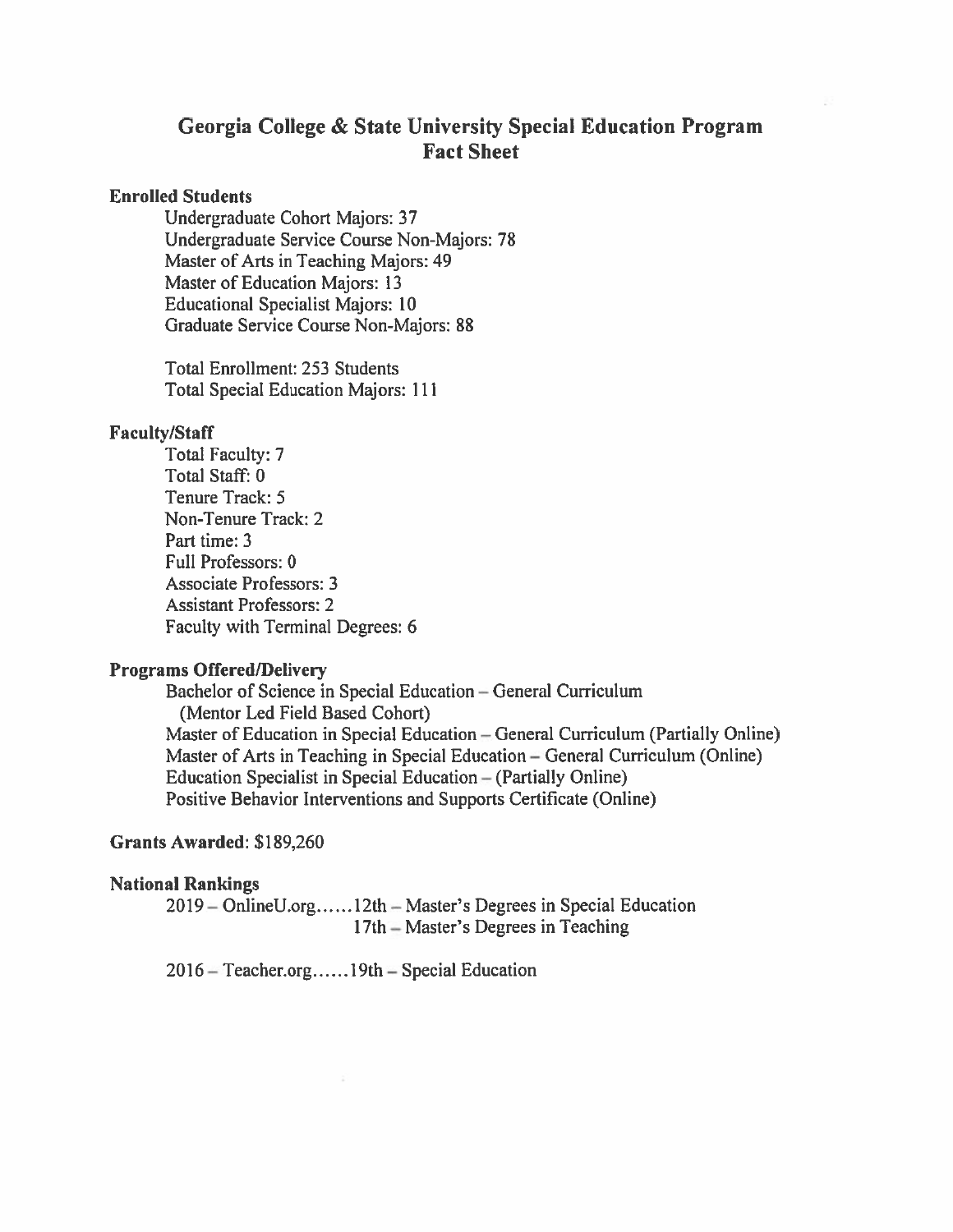## Georgia College & State University Special Education Program **Fact Sheet**

### **Enrolled Students**

Undergraduate Cohort Majors: 37 Undergraduate Service Course Non-Majors: 78 Master of Arts in Teaching Majors: 49 Master of Education Majors: 13 **Educational Specialist Majors: 10** Graduate Service Course Non-Majors: 88

**Total Enrollment: 253 Students Total Special Education Majors: 111** 

## **Faculty/Staff**

Total Faculty: 7 Total Staff: 0 Tenure Track: 5 Non-Tenure Track: 2 Part time: 3 Full Professors: 0 **Associate Professors: 3 Assistant Professors: 2** Faculty with Terminal Degrees: 6

## **Programs Offered/Delivery**

Bachelor of Science in Special Education - General Curriculum (Mentor Led Field Based Cohort) Master of Education in Special Education – General Curriculum (Partially Online) Master of Arts in Teaching in Special Education – General Curriculum (Online) Education Specialist in Special Education – (Partially Online) Positive Behavior Interventions and Supports Certificate (Online)

## Grants Awarded: \$189,260

#### **National Rankings**

2019 – OnlineU.org......12th – Master's Degrees in Special Education 17th – Master's Degrees in Teaching

2016 – Teacher.org......19th – Special Education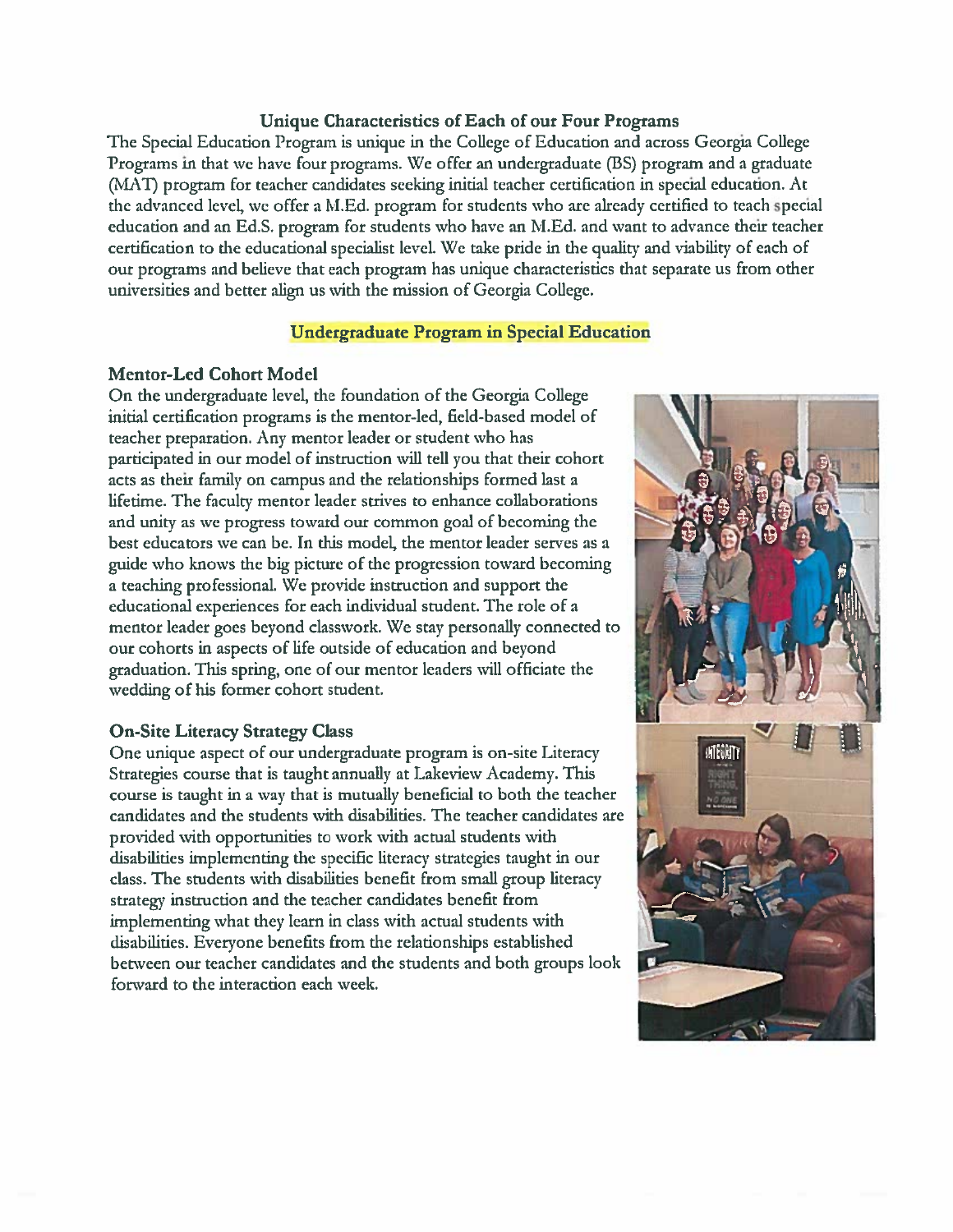### Unique Characteristics of Each of our Four Programs

The Special Education Program is unique in the College of Education and across Georgia College Programs in that we have four programs. We offer an undergraduate (BS) program and a graduate (MAT) program for teacher candidates seeking initial teacher certification in special education. At the advanced level, we offer a M.Ed. program for students who are already certified to teach special education and an Ed.S. program for students who have an M.Ed. and want to advance their teacher certification to the educational specialist level. We take pride in the quality and viability of each of our programs and believe that each program has unique characteristics that separate us from other universities and better align us with the mission of Georgia College.

#### **Undergraduate Program in Special Education**

#### **Mentor-Led Cohort Model**

On the undergraduate level, the foundation of the Georgia College initial certification programs is the mentor-led, field-based model of teacher preparation. Any mentor leader or student who has participated in our model of instruction will tell you that their cohort acts as their family on campus and the relationships formed last a lifetime. The faculty mentor leader strives to enhance collaborations and unity as we progress toward our common goal of becoming the best educators we can be. In this model, the mentor leader serves as a guide who knows the big picture of the progression toward becoming a teaching professional. We provide instruction and support the educational experiences for each individual student. The role of a mentor leader goes beyond classwork. We stay personally connected to our cohorts in aspects of life outside of education and beyond graduation. This spring, one of our mentor leaders will officiate the wedding of his former cohort student.

#### **On-Site Literacy Strategy Class**

One unique aspect of our undergraduate program is on-site Literacy Strategies course that is taught annually at Lakeview Academy. This course is taught in a way that is mutually beneficial to both the teacher candidates and the students with disabilities. The teacher candidates are provided with opportunities to work with actual students with disabilities implementing the specific literacy strategies taught in our class. The students with disabilities benefit from small group literacy strategy instruction and the teacher candidates benefit from implementing what they learn in class with actual students with disabilities. Everyone benefits from the relationships established between our teacher candidates and the students and both groups look forward to the interaction each week.

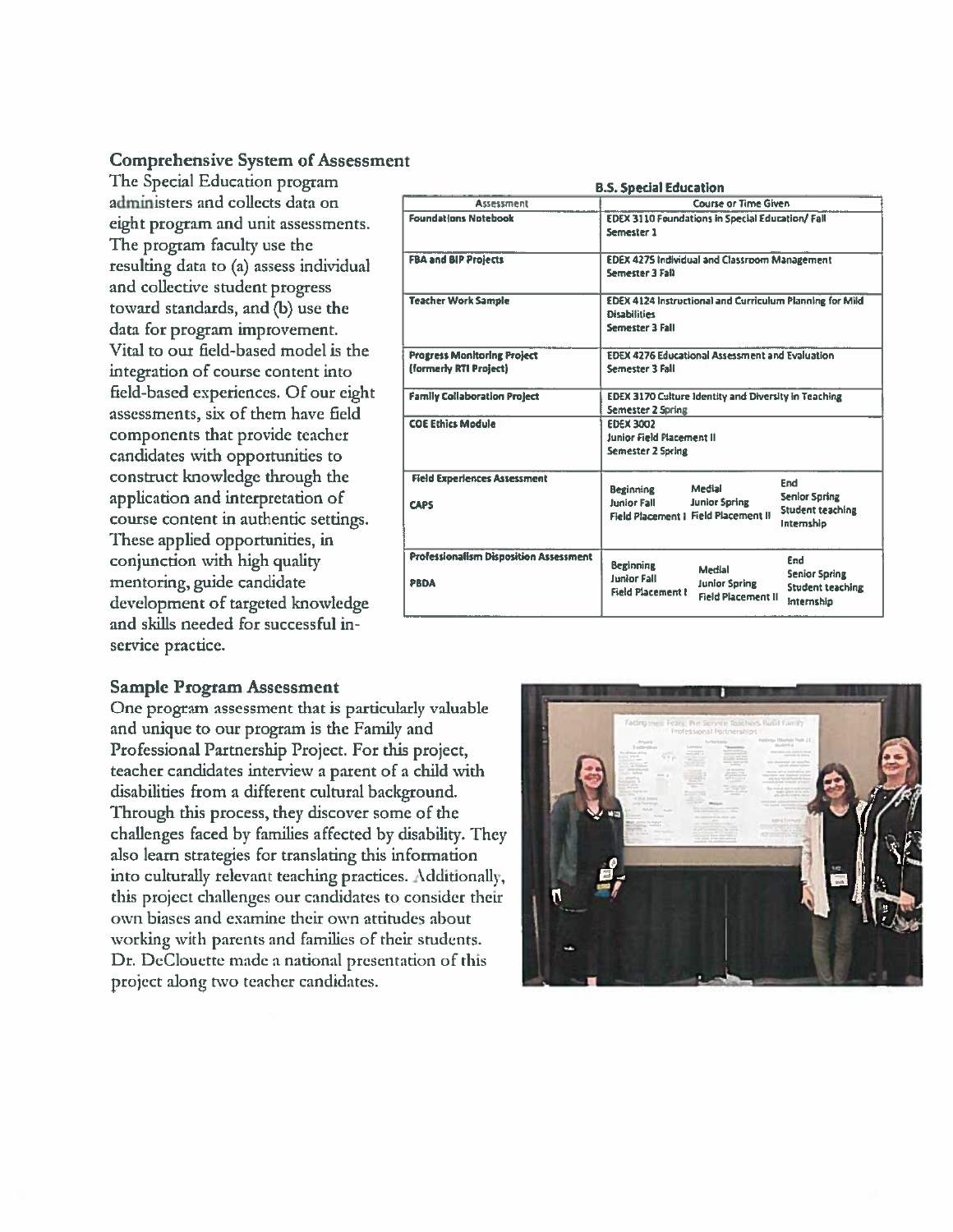## **Comprehensive System of Assessment**

The Special Education program administers and collects data on eight program and unit assessments. The program faculty use the resulting data to (a) assess individual and collective student progress toward standards, and (b) use the data for program improvement. Vital to our field-based model is the integration of course content into field-based experiences. Of our eight assessments, six of them have field components that provide teacher candidates with opportunities to construct knowledge through the application and interpretation of course content in authentic settings. These applied opportunities, in conjunction with high quality mentoring, guide candidate development of targeted knowledge and skills needed for successful inservice practice.

| <b>B.S. Special Education</b>                                |                                                                                                                                                                                                           |  |  |  |  |  |  |
|--------------------------------------------------------------|-----------------------------------------------------------------------------------------------------------------------------------------------------------------------------------------------------------|--|--|--|--|--|--|
| <b>Assessment</b>                                            | Course or Time Given                                                                                                                                                                                      |  |  |  |  |  |  |
| <b>Foundations Notebook</b>                                  | EDEX 3110 Foundations in Special Education/ Fall<br>Semester 1                                                                                                                                            |  |  |  |  |  |  |
| <b>FBA and BIP Projects</b>                                  | <b>EDEX 4275 Individual and Classroom Management</b><br>Semester 3 Fall                                                                                                                                   |  |  |  |  |  |  |
| <b>Teacher Work Sample</b>                                   | EDEX 4124 Instructional and Curriculum Planning for Mild<br><b>Disabilities</b><br>Semester 3 Fall                                                                                                        |  |  |  |  |  |  |
| <b>Progress Monitoring Project</b><br>(formerly RTI Project) | <b>EDEX 4276 Educational Assessment and Evaluation</b><br>Semester 3 Fall                                                                                                                                 |  |  |  |  |  |  |
| <b>Family Collaboration Project</b>                          | <b>EDEX 3170 Culture Identity and Diversity in Teaching</b><br>Semester 2 Spring                                                                                                                          |  |  |  |  |  |  |
| <b>COE Ethics Module</b>                                     | <b>EDEX 3002</b><br>Junior Field Placement II<br>Semester 2 Spring                                                                                                                                        |  |  |  |  |  |  |
| <b>Field Experiences Assessment</b><br><b>CAPS</b>           | End<br>Medial<br><b>Beginning</b><br>Senior Spring<br><b>Junior Fall</b><br><b>Junior Spring</b><br>Student teaching<br>Field Placement I Field Placement II<br>Internship                                |  |  |  |  |  |  |
| Professionalism Disposition Assessment<br>PBDA               | End<br>Beginning<br><b>Medial</b><br><b>Senior Spring</b><br><b>Junior Fall</b><br><b>Junior Spring</b><br><b>Student teaching</b><br><b>Field Placement I</b><br><b>Field Placement II</b><br>Internship |  |  |  |  |  |  |

#### **Sample Program Assessment**

One program assessment that is particularly valuable and unique to our program is the Family and Professional Partnership Project. For this project, teacher candidates interview a parent of a child with disabilities from a different cultural background. Through this process, they discover some of the challenges faced by families affected by disability. They also learn strategies for translating this information into culturally relevant teaching practices. Additionally, this project challenges our candidates to consider their own biases and examine their own attitudes about working with parents and families of their students. Dr. DeClouette made a national presentation of this project along two teacher candidates.

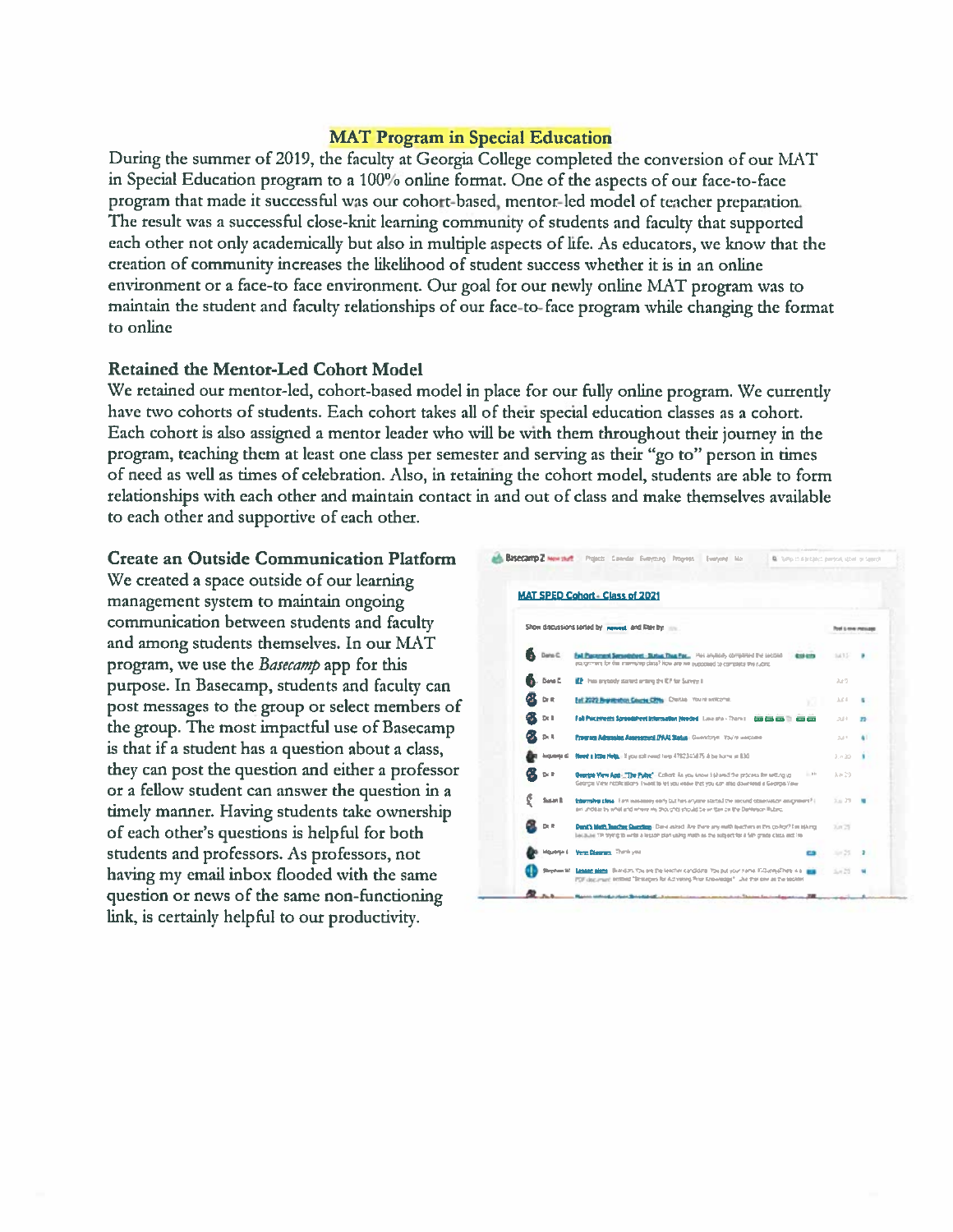#### **MAT Program in Special Education**

During the summer of 2019, the faculty at Georgia College completed the conversion of our MAT in Special Education program to a 100% online format. One of the aspects of our face-to-face program that made it successful was our cohort-based, mentor-led model of teacher preparation. The result was a successful close-knit learning community of students and faculty that supported each other not only academically but also in multiple aspects of life. As educators, we know that the creation of community increases the likelihood of student success whether it is in an online environment or a face-to face environment. Our goal for our newly online MAT program was to maintain the student and faculty relationships of our face-to-face program while changing the format to online

#### **Retained the Mentor-Led Cohort Model**

We retained our mentor-led, cohort-based model in place for our fully online program. We currently have two cohorts of students. Each cohort takes all of their special education classes as a cohort. Each cohort is also assigned a mentor leader who will be with them throughout their journey in the program, teaching them at least one class per semester and serving as their "go to" person in times of need as well as times of celebration. Also, in retaining the cohort model, students are able to form relationships with each other and maintain contact in and out of class and make themselves available to each other and supportive of each other.

#### **Create an Outside Communication Platform**

We created a space outside of our learning management system to maintain ongoing communication between students and faculty and among students themselves. In our MAT program, we use the Basecamp app for this purpose. In Basecamp, students and faculty can post messages to the group or select members of the group. The most impactful use of Basecamp is that if a student has a question about a class, they can post the question and either a professor or a fellow student can answer the question in a timely manner. Having students take ownership of each other's questions is helpful for both students and professors. As professors, not having my email inbox flooded with the same question or news of the same non-functioning link, is certainly helpful to our productivity.

|               |                 | <b>MAT SPED Cohort - Class of 2021</b>                                                                                                                                                                         |                     |    |
|---------------|-----------------|----------------------------------------------------------------------------------------------------------------------------------------------------------------------------------------------------------------|---------------------|----|
|               |                 | Show discussions sorted by paweed and litter by the                                                                                                                                                            | Tool Limit Pitchese |    |
|               | <b>B</b> Data C | Fall Plassmant Seraethdrett - Sixtua Than Pac., Has anytooly completed the second<br><b><i><u><u>estima</u></u></i></b><br>ession-ment for the internalists class? Now are we supposed to complete the rubric. | 5433                |    |
|               | Date C.         | EP - Has anytatch started antimo the EP for Survey 8                                                                                                                                                           | Jun 9               |    |
|               | Dr It           | Ealt 2023 Registeration Counter CRNs Chestia You're wolcome.                                                                                                                                                   | Ad 4                |    |
| @K oc∎        |                 | Fail Pieceswats Soveedsheet Internation Needed, Low are - Trans (  000 CD) (20) (20) (20) (20)                                                                                                                 | 2414                | 39 |
| <b>OK</b> DLL |                 | Program Admission Assessment (PAA) Status   Georgian   You're encoure                                                                                                                                          | 533                 |    |
|               | luquerje d      | Reed a 100s Nels, (iii) you call need hero 4782345875 & be harry at 830.                                                                                                                                       | $2 + 20$            |    |
| GS 9⊧P        |                 | Courtes View Ann - "The Public" - Collect: As you know it shared the process for article up<br>$-01$<br>Georgia View replications (wast to let you visive that you can also download a Georgia View            | $\lambda > 20$      |    |
|               | Susan B.        | Education than 1978 wasaness only tall has aristine studied the securit observation esservators? I<br>am unders by what and where my thoughts should be written on the Darkston Rubro.                         | $3.0 - 29$          |    |
|               | Dr. R           | Dans's Math Teacher Quantion - Dave asked Are there any well teachers in this co-hort? I'm interest<br>bacause TPI trying to write a lesson plan valvo math as the subsect for a SIP crede class and I'm       | 7.m 25              |    |
|               | <b>Mounted</b>  | Verzi Diegenz, Thank you<br>⇔                                                                                                                                                                                  | $5 - 25$            |    |
|               |                 | Stephen W. Lessen alams Bundars Tax are the leadier candidate You put your name. Fillumed here is a state<br>FDF decument settled "Streates for Achienna Rina Knowledge" Jive the one as the booklet           | $5 - 75$            |    |
|               |                 | Books policed a place throughout . I come in the case was a collection for the factor of the Collection                                                                                                        |                     |    |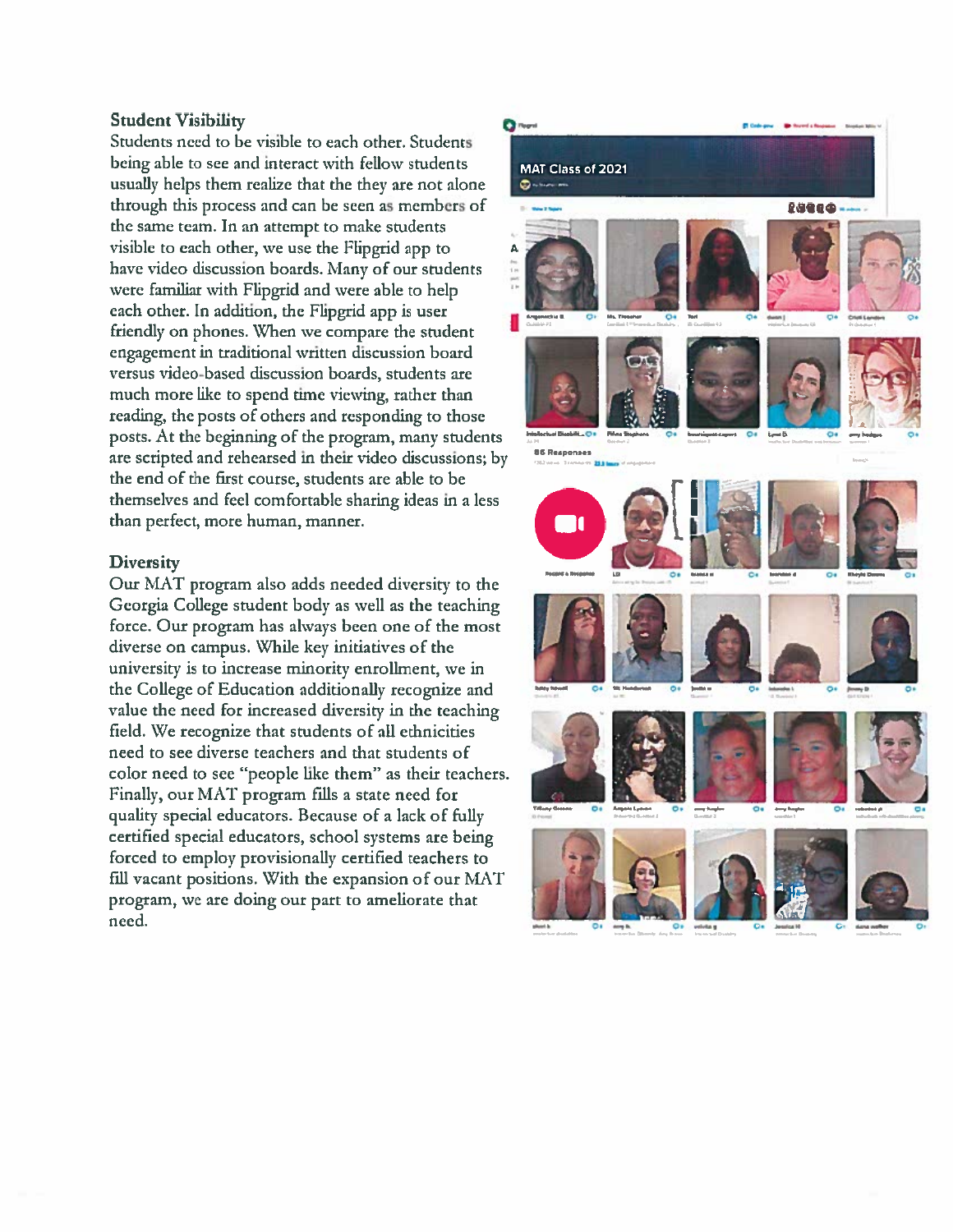#### **Student Visibility**

Students need to be visible to each other. Students being able to see and interact with fellow students usually helps them realize that the they are not alone through this process and can be seen as members of the same team. In an attempt to make students visible to each other, we use the Flipgrid app to have video discussion boards. Many of our students were familiar with Flipgrid and were able to help each other. In addition, the Flipgrid app is user friendly on phones. When we compare the student engagement in traditional written discussion board versus video-based discussion boards, students are much more like to spend time viewing, rather than reading, the posts of others and responding to those posts. At the beginning of the program, many students are scripted and rehearsed in their video discussions; by the end of the first course, students are able to be themselves and feel comfortable sharing ideas in a less than perfect, more human, manner.

#### **Diversity**

Our MAT program also adds needed diversity to the Georgia College student body as well as the teaching force. Our program has always been one of the most diverse on campus. While key initiatives of the university is to increase minority enrollment, we in the College of Education additionally recognize and value the need for increased diversity in the teaching field. We recognize that students of all ethnicities need to see diverse teachers and that students of color need to see "people like them" as their teachers. Finally, our MAT program fills a state need for quality special educators. Because of a lack of fully certified special educators, school systems are being forced to employ provisionally certified teachers to fill vacant positions. With the expansion of our MAT program, we are doing our part to ameliorate that need.

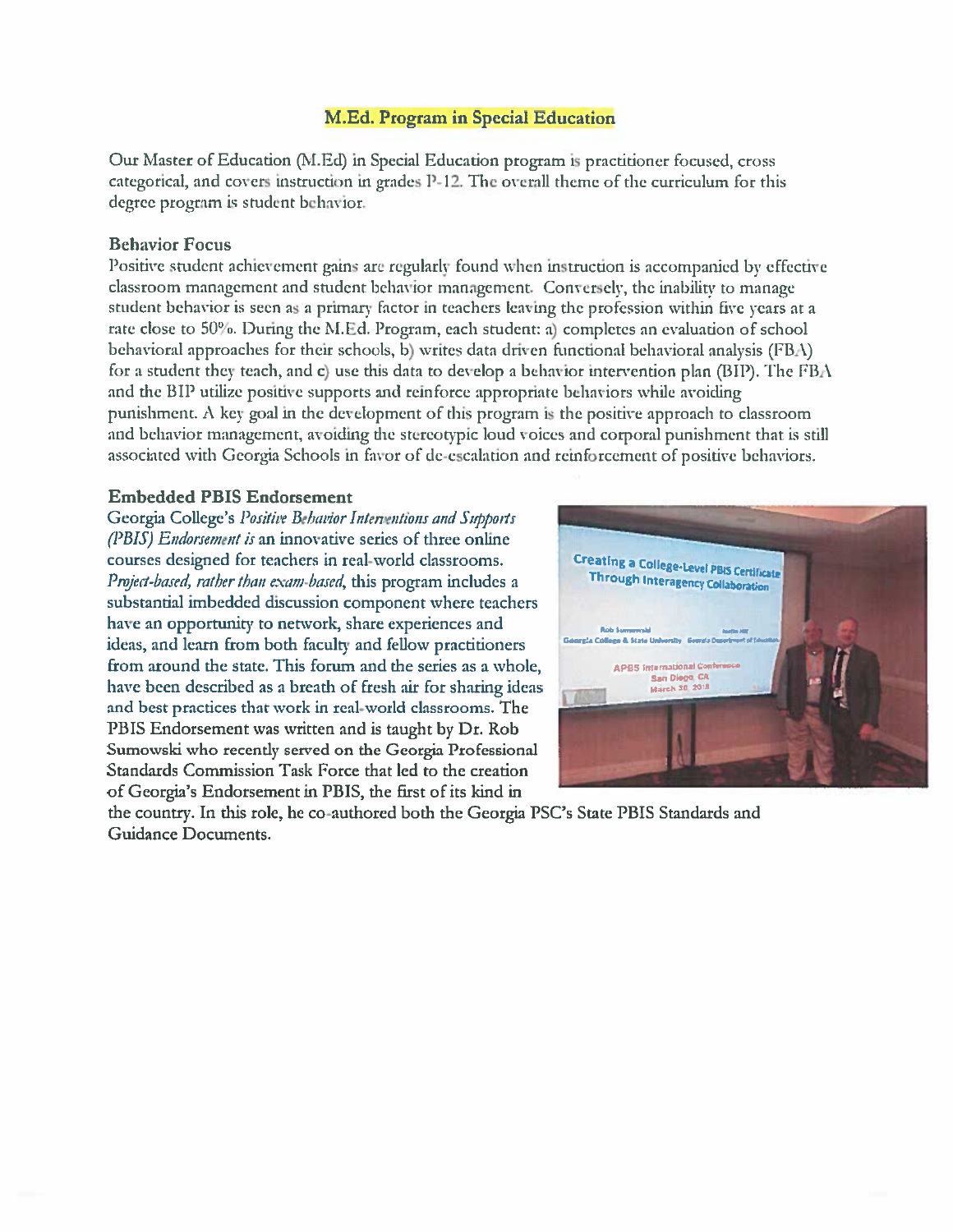### **M.Ed. Program in Special Education**

Our Master of Education (M.Ed) in Special Education program is practitioner focused, cross categorical, and covers instruction in grades P-12. The overall theme of the curriculum for this degree program is student behavior.

#### **Behavior Focus**

Positive student achievement gains are regularly found when instruction is accompanied by effective classroom management and student behavior management. Conversely, the inability to manage student behavior is seen as a primary factor in teachers leaving the profession within five years at a rate close to 50%. During the M.Ed. Program, each student: a) completes an evaluation of school behavioral approaches for their schools, b) writes data driven functional behavioral analysis (FBA) for a student they teach, and c) use this data to develop a behavior intervention plan (BIP). The FBA and the BIP utilize positive supports and reinforce appropriate behaviors while avoiding punishment. A key goal in the development of this program is the positive approach to classroom and behavior management, avoiding the stereotypic loud voices and corporal punishment that is still associated with Georgia Schools in favor of de-escalation and reinforcement of positive behaviors.

#### **Embedded PBIS Endorsement**

Georgia College's Positive Behavior Interventions and Supports (PBIS) Endorsement is an innovative series of three online courses designed for teachers in real-world classrooms. Project-based, rather than exam-based, this program includes a substantial imbedded discussion component where teachers have an opportunity to network, share experiences and ideas, and learn from both faculty and fellow practitioners from around the state. This forum and the series as a whole, have been described as a breath of fresh air for sharing ideas and best practices that work in real-world classrooms. The PBIS Endorsement was written and is taught by Dr. Rob Sumowski who recently served on the Georgia Professional Standards Commission Task Force that led to the creation of Georgia's Endorsement in PBIS, the first of its kind in



the country. In this role, he co-authored both the Georgia PSC's State PBIS Standards and Guidance Documents.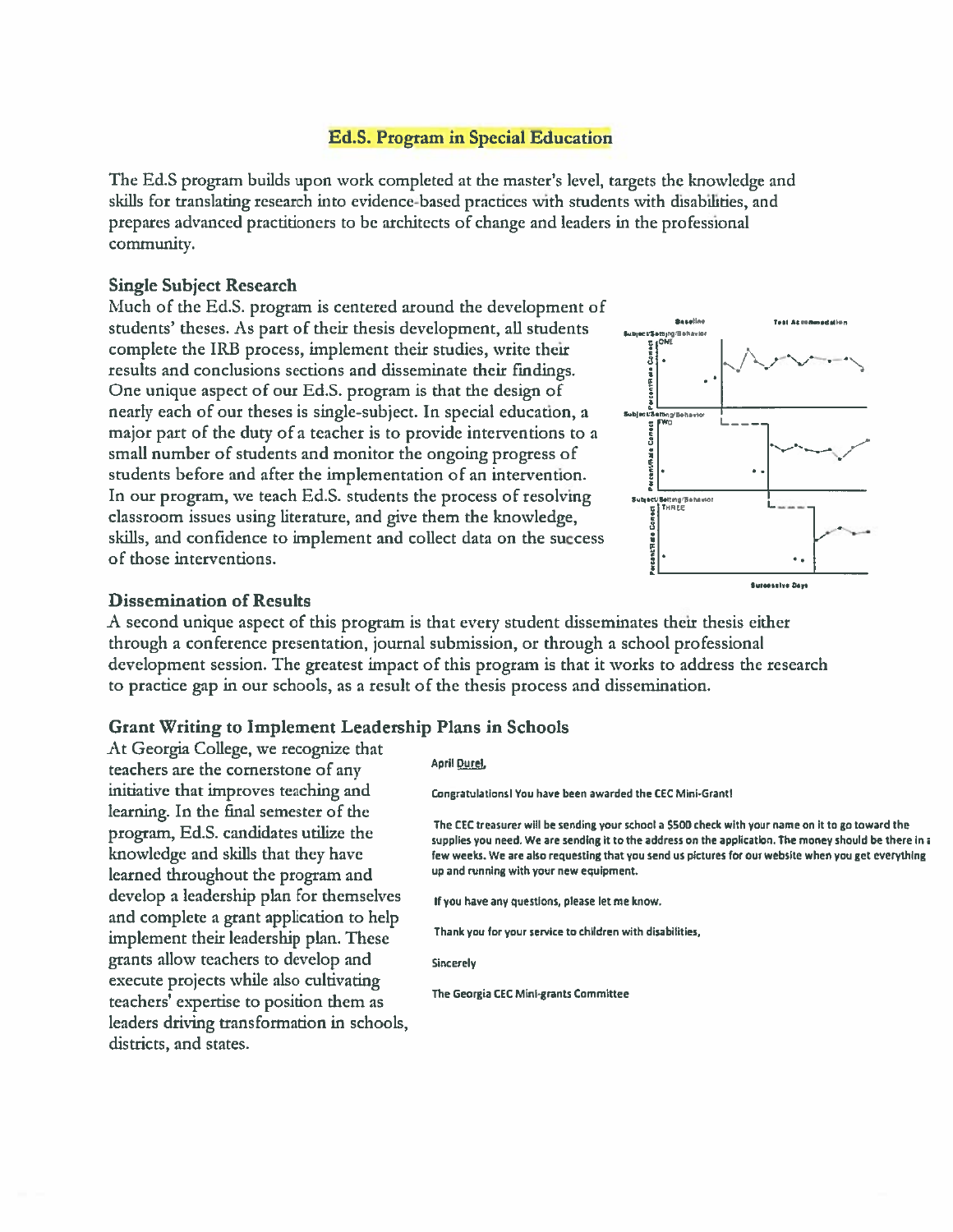#### **Ed.S. Program in Special Education**

The Ed.S program builds upon work completed at the master's level, targets the knowledge and skills for translating research into evidence-based practices with students with disabilities, and prepares advanced practitioners to be architects of change and leaders in the professional community.

#### **Single Subject Research**

Much of the Ed.S. program is centered around the development of students' theses. As part of their thesis development, all students complete the IRB process, implement their studies, write their results and conclusions sections and disseminate their findings. One unique aspect of our Ed.S. program is that the design of nearly each of our theses is single-subject. In special education, a major part of the duty of a teacher is to provide interventions to a small number of students and monitor the ongoing progress of students before and after the implementation of an intervention. In our program, we teach Ed.S. students the process of resolving classroom issues using literature, and give them the knowledge, skills, and confidence to implement and collect data on the success of those interventions.



#### **Dissemination of Results**

A second unique aspect of this program is that every student disseminates their thesis either through a conference presentation, journal submission, or through a school professional development session. The greatest impact of this program is that it works to address the research to practice gap in our schools, as a result of the thesis process and dissemination.

#### **Grant Writing to Implement Leadership Plans in Schools**

At Georgia College, we recognize that teachers are the cornerstone of any initiative that improves teaching and learning. In the final semester of the program, Ed.S. candidates utilize the knowledge and skills that they have learned throughout the program and develop a leadership plan for themselves and complete a grant application to help implement their leadership plan. These grants allow teachers to develop and execute projects while also cultivating teachers' expertise to position them as leaders driving transformation in schools, districts, and states.

#### April Durel,

Congratulations! You have been awarded the CEC Mini-Grant!

The CEC treasurer will be sending your school a \$500 check with your name on it to go toward the supplies you need. We are sending it to the address on the application. The money should be there in a few weeks. We are also requesting that you send us pictures for our website when you get everything up and running with your new equipment.

If you have any questions, please let me know.

Thank you for your service to children with disabilities,

**Sincerely** 

The Georgia CEC Mini-grants Committee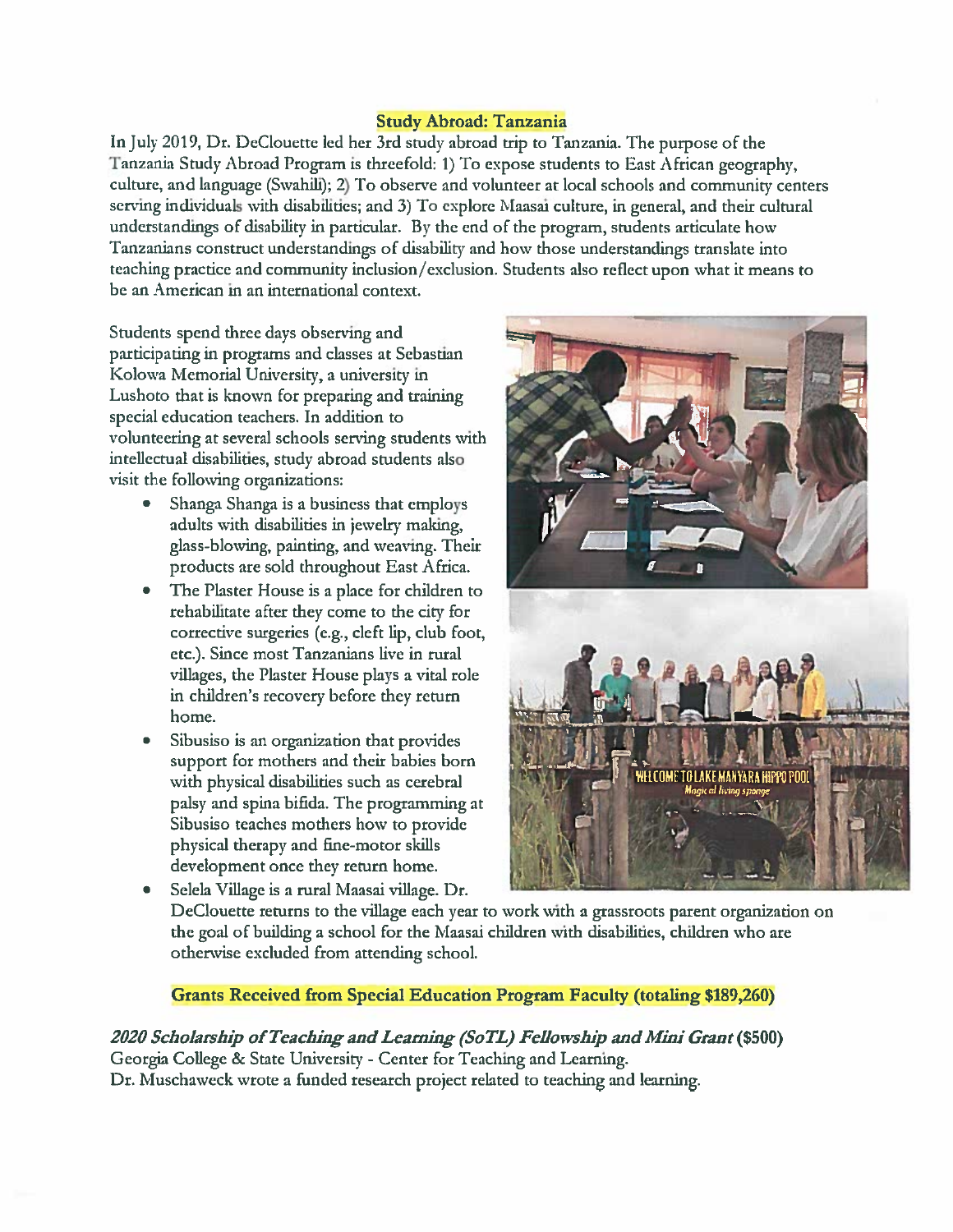## **Study Abroad: Tanzania**

In July 2019, Dr. DeClouette led her 3rd study abroad trip to Tanzania. The purpose of the Tanzania Study Abroad Program is threefold: 1) To expose students to East African geography, culture, and language (Swahili); 2) To observe and volunteer at local schools and community centers serving individuals with disabilities; and 3) To explore Maasai culture, in general, and their cultural understandings of disability in particular. By the end of the program, students articulate how Tanzanians construct understandings of disability and how those understandings translate into teaching practice and community inclusion/exclusion. Students also reflect upon what it means to be an American in an international context.

Students spend three days observing and participating in programs and classes at Sebastian Kolowa Memorial University, a university in Lushoto that is known for preparing and training special education teachers. In addition to volunteering at several schools serving students with intellectual disabilities, study abroad students also visit the following organizations:

- Shanga Shanga is a business that employs  $\bullet$ adults with disabilities in jewelry making, glass-blowing, painting, and weaving. Their products are sold throughout East Africa.
- The Plaster House is a place for children to rehabilitate after they come to the city for corrective surgeries (e.g., cleft lip, club foot, etc.). Since most Tanzanians live in rural villages, the Plaster House plays a vital role in children's recovery before they return home.
- Sibusiso is an organization that provides support for mothers and their babies born with physical disabilities such as cerebral palsy and spina bifida. The programming at Sibusiso teaches mothers how to provide physical therapy and fine-motor skills development once they return home.
- IF TOI AKE MANYARA HIPPO
- Selela Village is a rural Maasai village. Dr. DeClouette returns to the village each year to work with a grassroots parent organization on the goal of building a school for the Maasai children with disabilities, children who are otherwise excluded from attending school.

**Grants Received from Special Education Program Faculty (totaling \$189,260)** 

2020 Scholarship of Teaching and Learning (SoTL) Fellowship and Mini Grant (\$500) Georgia College & State University - Center for Teaching and Learning. Dr. Muschaweck wrote a funded research project related to teaching and learning.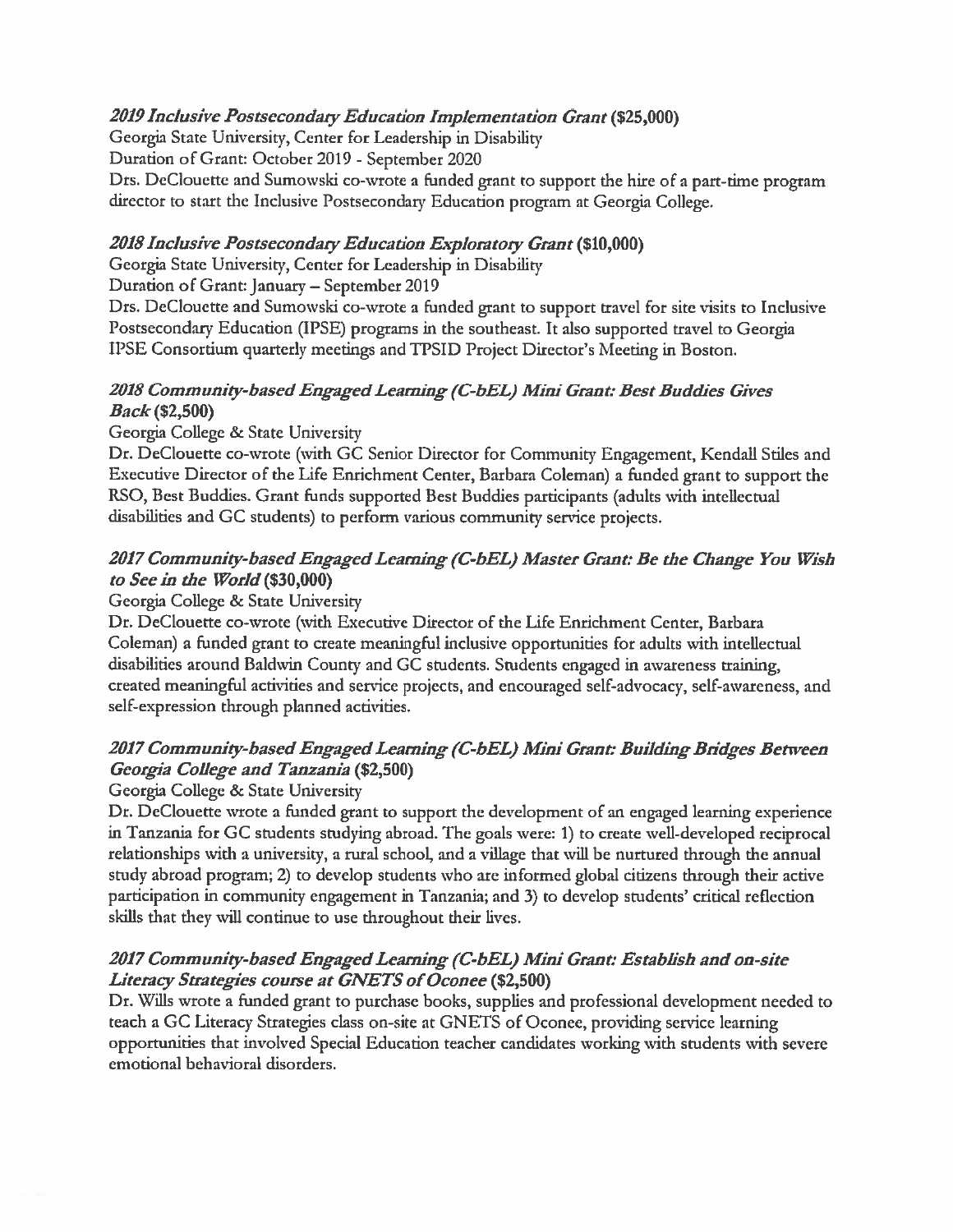## 2019 Inclusive Postsecondary Education Implementation Grant (\$25,000)

Georgia State University, Center for Leadership in Disability

Duration of Grant: October 2019 - September 2020

Drs. DeClouette and Sumowski co-wrote a funded grant to support the hire of a part-time program director to start the Inclusive Postsecondary Education program at Georgia College.

## 2018 Inclusive Postsecondary Education Exploratory Grant (\$10,000)

Georgia State University, Center for Leadership in Disability

Duration of Grant: January - September 2019

Drs. DeClouette and Sumowski co-wrote a funded grant to support travel for site visits to Inclusive Postsecondary Education (IPSE) programs in the southeast. It also supported travel to Georgia IPSE Consortium quarterly meetings and TPSID Project Director's Meeting in Boston.

## 2018 Community-based Engaged Learning (C-bEL) Mini Grant: Best Buddies Gives *Back* (\$2,500)

## Georgia College & State University

Dr. DeClouette co-wrote (with GC Senior Director for Community Engagement, Kendall Stiles and Executive Director of the Life Enrichment Center, Barbara Coleman) a funded grant to support the RSO, Best Buddies. Grant funds supported Best Buddies participants (adults with intellectual disabilities and GC students) to perform various community service projects.

## 2017 Community-based Engaged Learning (C-bEL) Master Grant: Be the Change You Wish to See in the World (\$30,000)

## Georgia College & State University

Dr. DeClouette co-wrote (with Executive Director of the Life Enrichment Center, Barbara Coleman) a funded grant to create meaningful inclusive opportunities for adults with intellectual disabilities around Baldwin County and GC students. Students engaged in awareness training, created meaningful activities and service projects, and encouraged self-advocacy, self-awareness, and self-expression through planned activities.

## 2017 Community-based Engaged Learning (C-bEL) Mini Grant: Building Bridges Between Georgia College and Tanzania (\$2,500)

## Georgia College & State University

Dr. DeClouette wrote a funded grant to support the development of an engaged learning experience in Tanzania for GC students studying abroad. The goals were: 1) to create well-developed reciprocal relationships with a university, a rural school, and a village that will be nurtured through the annual study abroad program; 2) to develop students who are informed global citizens through their active participation in community engagement in Tanzania; and 3) to develop students' critical reflection skills that they will continue to use throughout their lives.

## 2017 Community-based Engaged Learning (C-bEL) Mini Grant: Establish and on-site Literacy Strategies course at GNETS of Oconee (\$2,500)

Dr. Wills wrote a funded grant to purchase books, supplies and professional development needed to teach a GC Literacy Strategies class on-site at GNETS of Oconee, providing service learning opportunities that involved Special Education teacher candidates working with students with severe emotional behavioral disorders.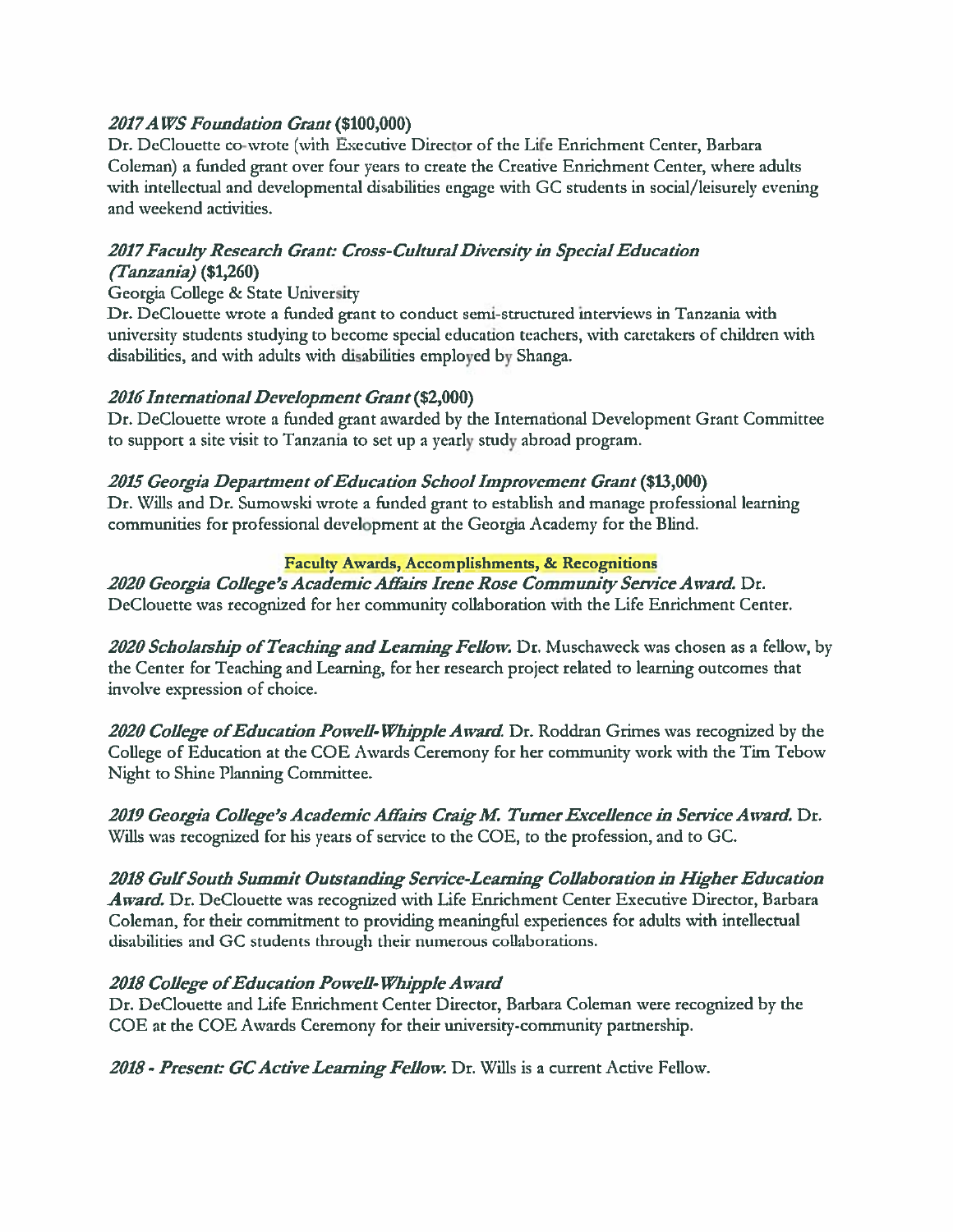## 2017 AWS Foundation Grant (\$100,000)

Dr. DeClouette co-wrote (with Executive Director of the Life Enrichment Center, Barbara Coleman) a funded grant over four years to create the Creative Enrichment Center, where adults with intellectual and developmental disabilities engage with GC students in social/leisurely evening and weekend activities.

## 2017 Faculty Research Grant: Cross-Cultural Diversity in Special Education  $(Tanzania)$  (\$1,260)

## Georgia College & State University

Dr. DeClouette wrote a funded grant to conduct semi-structured interviews in Tanzania with university students studying to become special education teachers, with caretakers of children with disabilities, and with adults with disabilities employed by Shanga.

## 2016 International Development Grant (\$2,000)

Dr. DeClouette wrote a funded grant awarded by the International Development Grant Committee to support a site visit to Tanzania to set up a yearly study abroad program.

## 2015 Georgia Department of Education School Improvement Grant (\$13,000)

Dr. Wills and Dr. Sumowski wrote a funded grant to establish and manage professional learning communities for professional development at the Georgia Academy for the Blind.

## Faculty Awards, Accomplishments, & Recognitions

2020 Georgia College's Academic Affairs Irene Rose Community Service Award. Dr. DeClouette was recognized for her community collaboration with the Life Enrichment Center.

2020 Scholarship of Teaching and Learning Fellow. Dr. Muschaweck was chosen as a fellow, by the Center for Teaching and Learning, for her research project related to learning outcomes that involve expression of choice.

2020 College of Education Powell-Whipple Award. Dr. Roddran Grimes was recognized by the College of Education at the COE Awards Ceremony for her community work with the Tim Tebow Night to Shine Planning Committee.

2019 Georgia College's Academic Affairs Craig M. Turner Excellence in Service Award. Dr. Wills was recognized for his years of service to the COE, to the profession, and to GC.

2018 Gulf South Summit Outstanding Service-Learning Collaboration in Higher Education Award. Dr. DeClouette was recognized with Life Enrichment Center Executive Director, Barbara Coleman, for their commitment to providing meaningful experiences for adults with intellectual disabilities and GC students through their numerous collaborations.

## 2018 College of Education Powell-Whipple Award

Dr. DeClouette and Life Enrichment Center Director, Barbara Coleman were recognized by the COE at the COE Awards Ceremony for their university-community partnership.

2018 - Present: GC Active Learning Fellow. Dr. Wills is a current Active Fellow.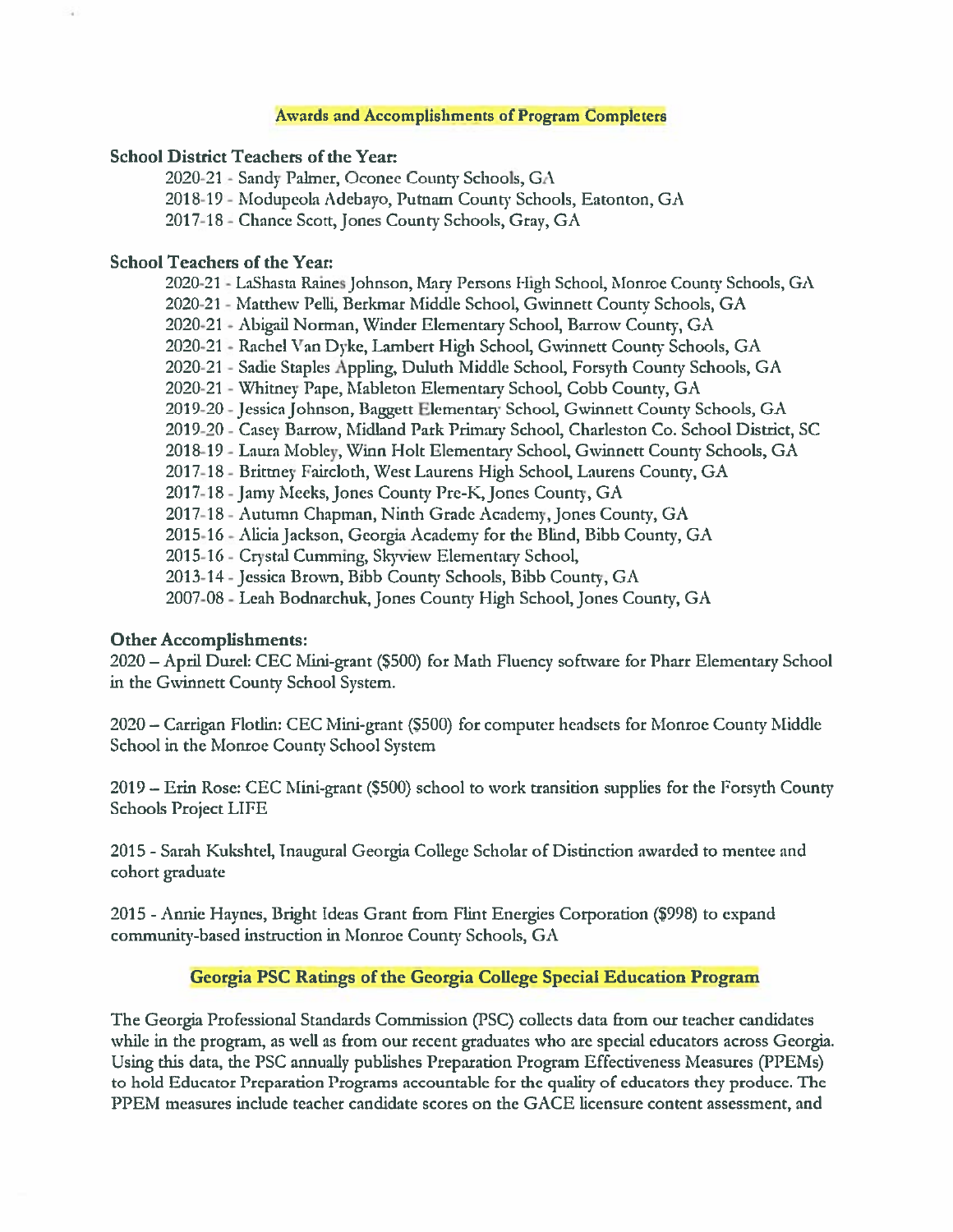#### **Awards and Accomplishments of Program Completers**

#### **School District Teachers of the Year:**

2020-21 - Sandy Palmer, Oconee County Schools, GA 2018-19 - Modupeola Adebayo, Putnam County Schools, Eatonton, GA 2017-18 - Chance Scott, Jones County Schools, Gray, GA

#### **School Teachers of the Year:**

2020-21 - LaShasta Raines Johnson, Mary Persons High School, Monroe County Schools, GA 2020-21 - Matthew Pelli, Berkmar Middle School, Gwinnett County Schools, GA 2020-21 - Abigail Norman, Winder Elementary School, Barrow County, GA 2020-21 - Rachel Van Dyke, Lambert High School, Gwinnett County Schools, GA 2020-21 - Sadie Staples Appling, Duluth Middle School, Forsyth County Schools, GA 2020-21 - Whitney Pape, Mableton Elementary School, Cobb County, GA 2019-20 - Jessica Johnson, Baggett Elementary School, Gwinnett County Schools, GA 2019-20 - Casey Barrow, Midland Park Primary School, Charleston Co. School District, SC 2018-19 - Laura Mobley, Winn Holt Elementary School, Gwinnett County Schools, GA 2017-18 - Brittney Faircloth, West Laurens High School, Laurens County, GA 2017-18 - Jamy Meeks, Jones County Pre-K, Jones County, GA 2017-18 - Autumn Chapman, Ninth Grade Academy, Jones County, GA 2015-16 - Alicia Jackson, Georgia Academy for the Blind, Bibb County, GA 2015-16 - Crystal Cumming, Skyview Elementary School, 2013-14 - Jessica Brown, Bibb County Schools, Bibb County, GA 2007-08 - Leah Bodnarchuk, Jones County High School, Jones County, GA

#### **Other Accomplishments:**

2020 - April Durel: CEC Mini-grant (\$500) for Math Fluency software for Pharr Elementary School in the Gwinnett County School System.

2020 – Carrigan Flotlin: CEC Mini-grant (\$500) for computer headsets for Monroe County Middle School in the Monroe County School System

2019 – Erin Rose: CEC Mini-grant (\$500) school to work transition supplies for the Forsyth County Schools Project LIFE

2015 - Sarah Kukshtel, Inaugural Georgia College Scholar of Distinction awarded to mentee and cohort graduate

2015 - Annie Haynes, Bright Ideas Grant from Flint Energies Corporation (\$998) to expand community-based instruction in Monroe County Schools, GA

### Georgia PSC Ratings of the Georgia College Special Education Program

The Georgia Professional Standards Commission (PSC) collects data from our teacher candidates while in the program, as well as from our recent graduates who are special educators across Georgia. Using this data, the PSC annually publishes Preparation Program Effectiveness Measures (PPEMs) to hold Educator Preparation Programs accountable for the quality of educators they produce. The PPEM measures include teacher candidate scores on the GACE licensure content assessment, and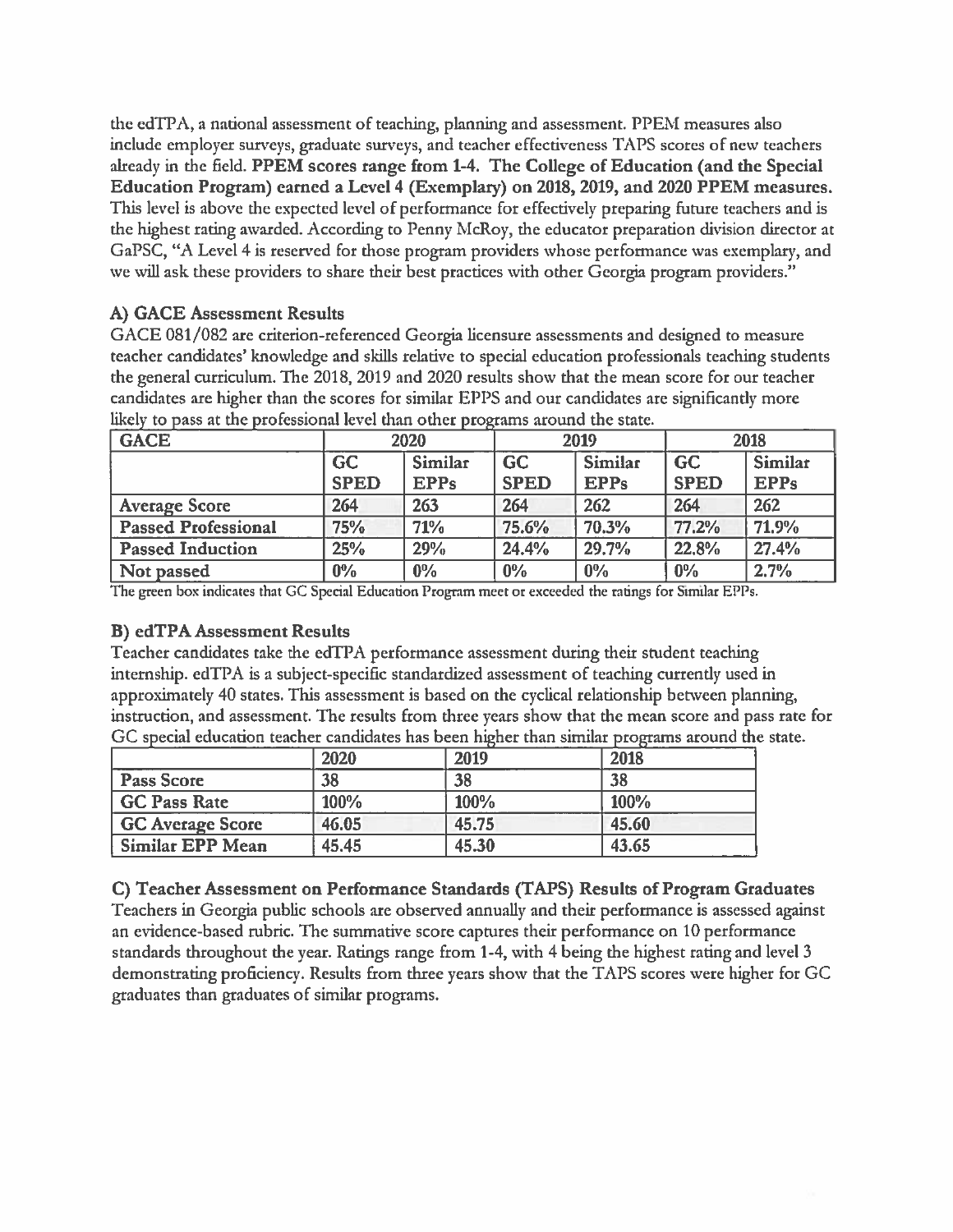the edTPA, a national assessment of teaching, planning and assessment. PPEM measures also include employer surveys, graduate surveys, and teacher effectiveness TAPS scores of new teachers already in the field. PPEM scores range from 1-4. The College of Education (and the Special Education Program) earned a Level 4 (Exemplary) on 2018, 2019, and 2020 PPEM measures. This level is above the expected level of performance for effectively preparing future teachers and is the highest rating awarded. According to Penny McRoy, the educator preparation division director at GaPSC, "A Level 4 is reserved for those program providers whose performance was exemplary, and we will ask these providers to share their best practices with other Georgia program providers."

## A) GACE Assessment Results

GACE 081/082 are criterion-referenced Georgia licensure assessments and designed to measure teacher candidates' knowledge and skills relative to special education professionals teaching students the general curriculum. The 2018, 2019 and 2020 results show that the mean score for our teacher candidates are higher than the scores for similar EPPS and our candidates are significantly more likely to pass at the professional level than other programs around the state.

| <b>GACE</b>                | 2020        |                | 2019        |             | 2018        |                |
|----------------------------|-------------|----------------|-------------|-------------|-------------|----------------|
|                            | <b>GC</b>   | <b>Similar</b> | <b>GC</b>   | Similar     | <b>GC</b>   | <b>Similar</b> |
|                            | <b>SPED</b> | <b>EPPs</b>    | <b>SPED</b> | <b>EPPs</b> | <b>SPED</b> | <b>EPPs</b>    |
| <b>Average Score</b>       | 264         | 263            | 264         | 262         | 264         | 262            |
| <b>Passed Professional</b> | 75%         | 71%            | 75.6%       | 70.3%       | 77.2%       | 71.9%          |
| <b>Passed Induction</b>    | 25%         | 29%            | 24.4%       | 29.7%       | 22,8%       | 27.4%          |
| Not passed                 | $0\%$       | $0\%$          | $0\%$       | $0\%$       | $0\%$       | 2.7%           |

The green box indicates that GC Special Education Program meet or exceeded the ratings for Similar EPPs.

## **B) edTPA Assessment Results**

Teacher candidates take the edTPA performance assessment during their student teaching internship. edTPA is a subject-specific standardized assessment of teaching currently used in approximately 40 states. This assessment is based on the cyclical relationship between planning, instruction, and assessment. The results from three years show that the mean score and pass rate for GC special education teacher candidates has been higher than similar programs around the state.

|                         | 2020  | 2019  | 2018  |
|-------------------------|-------|-------|-------|
| Pass Score              | 38    | 38    | 38    |
| GC Pass Rate            | 100%  | 100%  | 100%  |
| GC Average Score        | 46.05 | 45.75 | 45.60 |
| <b>Similar EPP Mean</b> | 45.45 | 45.30 | 43.65 |

C) Teacher Assessment on Performance Standards (TAPS) Results of Program Graduates Teachers in Georgia public schools are observed annually and their performance is assessed against an evidence-based rubric. The summative score captures their performance on 10 performance standards throughout the year. Ratings range from 1-4, with 4 being the highest rating and level 3 demonstrating proficiency. Results from three years show that the TAPS scores were higher for GC graduates than graduates of similar programs.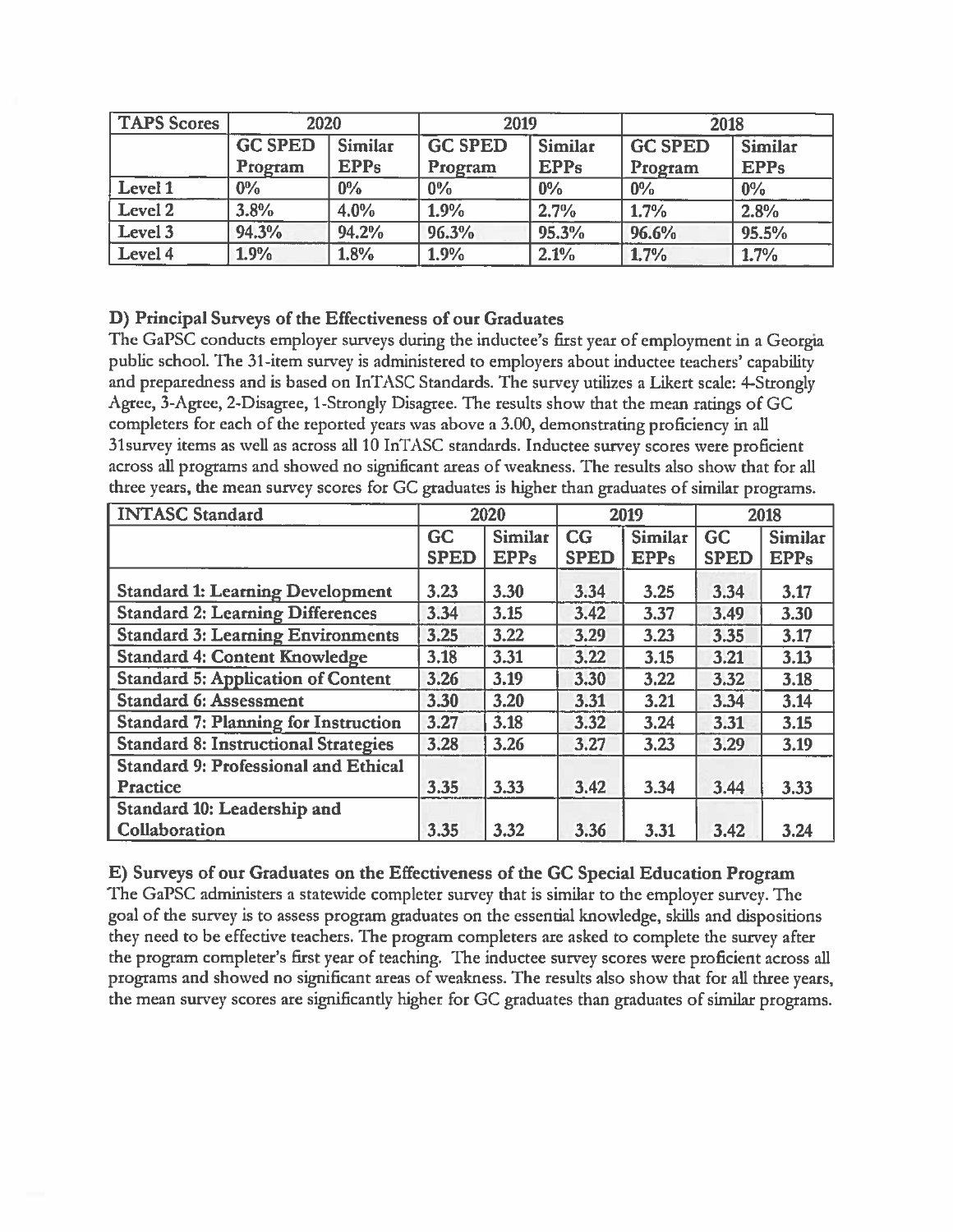| TAPS Scores        | 2020                             |             | 2019           |             | 2018           |             |
|--------------------|----------------------------------|-------------|----------------|-------------|----------------|-------------|
|                    | <b>GC SPED</b><br><b>Similar</b> |             | <b>GC SPED</b> | Similar     | <b>GC SPED</b> | Similar     |
|                    | Program                          | <b>EPPs</b> | Program        | <b>EPPs</b> | Program        | <b>EPPs</b> |
| Level 1            | $0\%$                            | $0\%$       | $0\%$          | $0\%$       | $0\%$          | $0\%$       |
| Level <sub>2</sub> | 3.8%                             | 4.0%        | 1.9%           | 2.7%        | 1.7%           | 2.8%        |
| Level 3            | 94.3%                            | 94.2%       | 96.3%          | 95.3%       | 96.6%          | 95.5%       |
| Level 4            | 1.9%                             | 1.8%        | 1.9%           | 2.1%        | 1.7%           | 1.7%        |

## D) Principal Surveys of the Effectiveness of our Graduates

The GaPSC conducts employer surveys during the inductee's first year of employment in a Georgia public school. The 31-item survey is administered to employers about inductee teachers' capability and preparedness and is based on InTASC Standards. The survey utilizes a Likert scale: 4-Strongly Agree, 3-Agree, 2-Disagree, 1-Strongly Disagree. The results show that the mean ratings of GC completers for each of the reported years was above a 3.00, demonstrating proficiency in all 31 survey items as well as across all 10 InTASC standards. Inductee survey scores were proficient across all programs and showed no significant areas of weakness. The results also show that for all three years, the mean survey scores for GC graduates is higher than graduates of similar programs.

| <b>INTASC Standard</b>                      | 2020        |                | 2019        |                | 2018        |                |
|---------------------------------------------|-------------|----------------|-------------|----------------|-------------|----------------|
|                                             | GC          | <b>Similar</b> | CG          | <b>Similar</b> | <b>GC</b>   | <b>Similar</b> |
|                                             | <b>SPED</b> | <b>EPPs</b>    | <b>SPED</b> | <b>EPPs</b>    | <b>SPED</b> | <b>EPPs</b>    |
| <b>Standard 1: Learning Development</b>     | 3.23        | 3.30           | 3.34        | 3.25           | 3.34        | 3.17           |
| <b>Standard 2: Learning Differences</b>     | 3.34        | 3.15           | 3.42        | 3.37           | 3.49        | 3.30           |
| <b>Standard 3: Learning Environments</b>    | 3.25        | 3.22           | 3.29        | 3.23           | 3.35        | 3.17           |
| <b>Standard 4: Content Knowledge</b>        | 3.18        | 3.31           | 3.22        | 3.15           | 3.21        | 3.13           |
| <b>Standard 5: Application of Content</b>   | 3.26        | 3.19           | 3.30        | 3.22           | 3.32        | 3.18           |
| <b>Standard 6: Assessment</b>               | 3.30        | 3.20           | 3.31        | 3.21           | 3.34        | 3.14           |
| <b>Standard 7: Planning for Instruction</b> | 3.27        | 3.18           | 3.32        | 3.24           | 3.31        | 3.15           |
| <b>Standard 8: Instructional Strategies</b> | 3.28        | 3.26           | 3.27        | 3.23           | 3.29        | 3.19           |
| <b>Standard 9: Professional and Ethical</b> |             |                |             |                |             |                |
| Practice                                    | 3.35        | 3.33           | 3.42        | 3.34           | 3.44        | 3.33           |
| Standard 10: Leadership and                 |             |                |             |                |             |                |
| Collaboration                               | 3.35        | 3.32           | 3.36        | 3.31           | 3.42        | 3.24           |

## E) Surveys of our Graduates on the Effectiveness of the GC Special Education Program

The GaPSC administers a statewide completer survey that is similar to the employer survey. The goal of the survey is to assess program graduates on the essential knowledge, skills and dispositions they need to be effective teachers. The program completers are asked to complete the survey after the program completer's first year of teaching. The inductee survey scores were proficient across all programs and showed no significant areas of weakness. The results also show that for all three years, the mean survey scores are significantly higher for GC graduates than graduates of similar programs.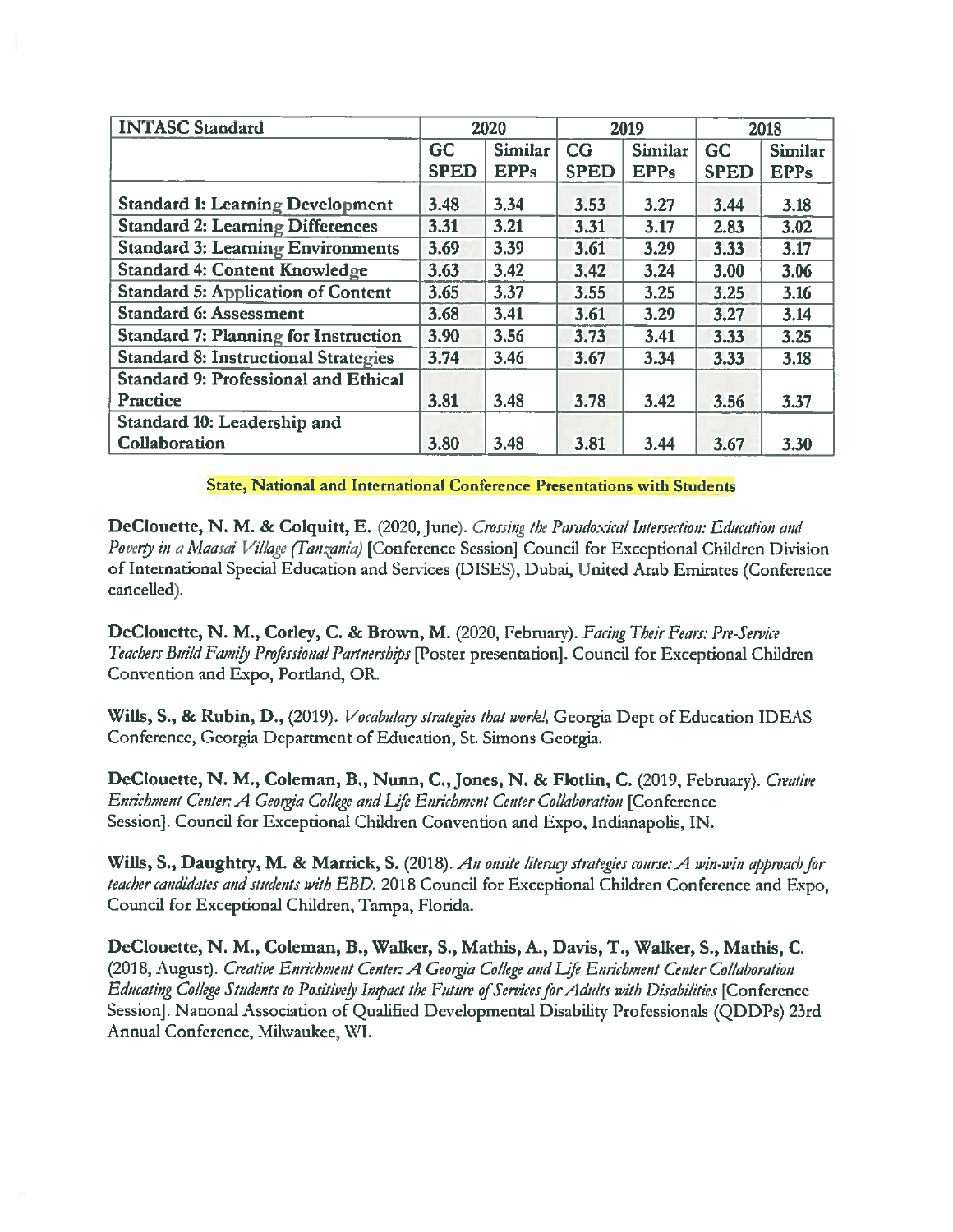| <b>INTASC Standard</b>                      | 2020        |                | 2019        |                | 2018        |                |
|---------------------------------------------|-------------|----------------|-------------|----------------|-------------|----------------|
|                                             | <b>GC</b>   | <b>Similar</b> | CG          | <b>Similar</b> | GC          | <b>Similar</b> |
|                                             | <b>SPED</b> | <b>EPPs</b>    | <b>SPED</b> | <b>EPPs</b>    | <b>SPED</b> | <b>EPPs</b>    |
| <b>Standard 1: Learning Development</b>     | 3.48        | 3.34           | 3.53        | 3.27           | 3.44        | 3.18           |
| <b>Standard 2: Learning Differences</b>     | 3.31        | 3.21           | 3.31        | 3.17           | 2.83        | 3.02           |
| <b>Standard 3: Learning Environments</b>    | 3.69        | 3.39           | 3.61        | 3.29           | 3.33        | 3.17           |
| <b>Standard 4: Content Knowledge</b>        | 3.63        | 3.42           | 3.42        | 3.24           | 3.00        | 3.06           |
| <b>Standard 5: Application of Content</b>   | 3.65        | 3.37           | 3.55        | 3.25           | 3.25        | 3.16           |
| <b>Standard 6: Assessment</b>               | 3.68        | 3.41           | 3.61        | 3.29           | 3.27        | 3.14           |
| <b>Standard 7: Planning for Instruction</b> | 3.90        | 3.56           | 3.73        | 3.41           | 3.33        | 3.25           |
| <b>Standard 8: Instructional Strategies</b> | 3.74        | 3.46           | 3.67        | 3.34           | 3.33        | 3.18           |
| <b>Standard 9: Professional and Ethical</b> |             |                |             |                |             |                |
| <b>Practice</b>                             | 3.81        | 3.48           | 3.78        | 3.42           | 3.56        | 3.37           |
| Standard 10: Leadership and                 |             |                |             |                |             |                |
| <b>Collaboration</b>                        | 3.80        | 3.48           | 3.81        | 3.44           | 3.67        | 3.30           |

State, National and International Conference Presentations with Students

DeClouette, N. M. & Colquitt, E. (2020, June). Crossing the Paradoxical Intersection: Education and Poverty in a Maasai Village (Tanzania) [Conference Session] Council for Exceptional Children Division of International Special Education and Services (DISES), Dubai, United Arab Emirates (Conference cancelled).

DeClouette, N. M., Corley, C. & Brown, M. (2020, February). Facing Their Fears: Pre-Service Teachers Build Family Professional Partnerships [Poster presentation]. Council for Exceptional Children Convention and Expo, Portland, OR.

Wills, S., & Rubin, D., (2019). *Vocabulary strategies that work!*, Georgia Dept of Education IDEAS Conference, Georgia Department of Education, St. Simons Georgia.

DeClouette, N. M., Coleman, B., Nunn, C., Jones, N. & Flotlin, C. (2019, February). Creative Enrichment Center: A Georgia College and Life Enrichment Center Collaboration [Conference Session]. Council for Exceptional Children Convention and Expo, Indianapolis, IN.

Wills, S., Daughtry, M. & Marrick, S. (2018). An onsite literacy strategies course: A win-win approach for teacher candidates and students with EBD. 2018 Council for Exceptional Children Conference and Expo, Council for Exceptional Children, Tampa, Florida.

DeClouette, N. M., Coleman, B., Walker, S., Mathis, A., Davis, T., Walker, S., Mathis, C. (2018, August). Creative Enrichment Center: A Georgia College and Life Enrichment Center Collaboration Educating College Students to Positively Impact the Future of Services for Adults with Disabilities [Conference Session]. National Association of Qualified Developmental Disability Professionals (ODDPs) 23rd Annual Conference, Milwaukee, WI.